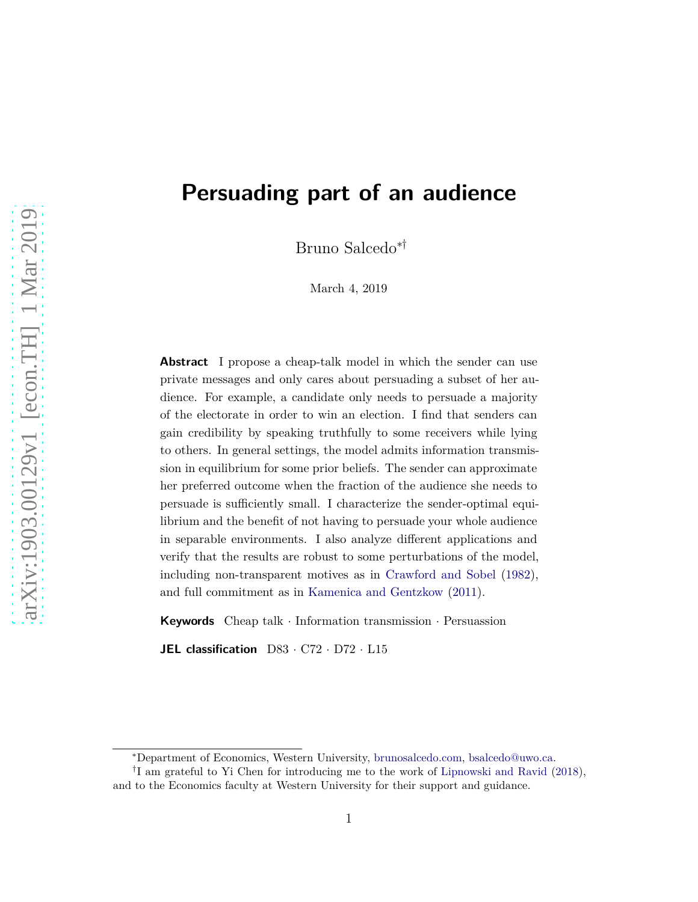# **Persuading part of an audience**

Bruno Salcedo∗†

March 4, 2019

**Abstract** I propose a cheap-talk model in which the sender can use private messages and only cares about persuading a subset of her audience. For example, a candidate only needs to persuade a majority of the electorate in order to win an election. I find that senders can gain credibility by speaking truthfully to some receivers while lying to others. In general settings, the model admits information transmission in equilibrium for some prior beliefs. The sender can approximate her preferred outcome when the fraction of the audience she needs to persuade is sufficiently small. I characterize the sender-optimal equilibrium and the benefit of not having to persuade your whole audience in separable environments. I also analyze different applications and verify that the results are robust to some perturbations of the model, including non-transparent motives as in [Crawford and Sobel](#page-19-0) [\(1982](#page-19-0)), and full commitment as in [Kamenica and Gentzkow](#page-19-1) [\(2011\)](#page-19-1).

**Keywords** Cheap talk · Information transmission · Persuassion

**JEL classification** D83 · C72 · D72 · L15

<sup>∗</sup>Department of Economics, Western University, [brunosalcedo.com,](http://www.brunosalcedo.com/) [bsalcedo@uwo.ca.](mailto:bsalcedo@uwo.ca)

<sup>&</sup>lt;sup>†</sup>I am grateful to Yi Chen for introducing me to the work of [Lipnowski and Ravid](#page-19-2) [\(2018\)](#page-19-2),

and to the Economics faculty at Western University for their support and guidance.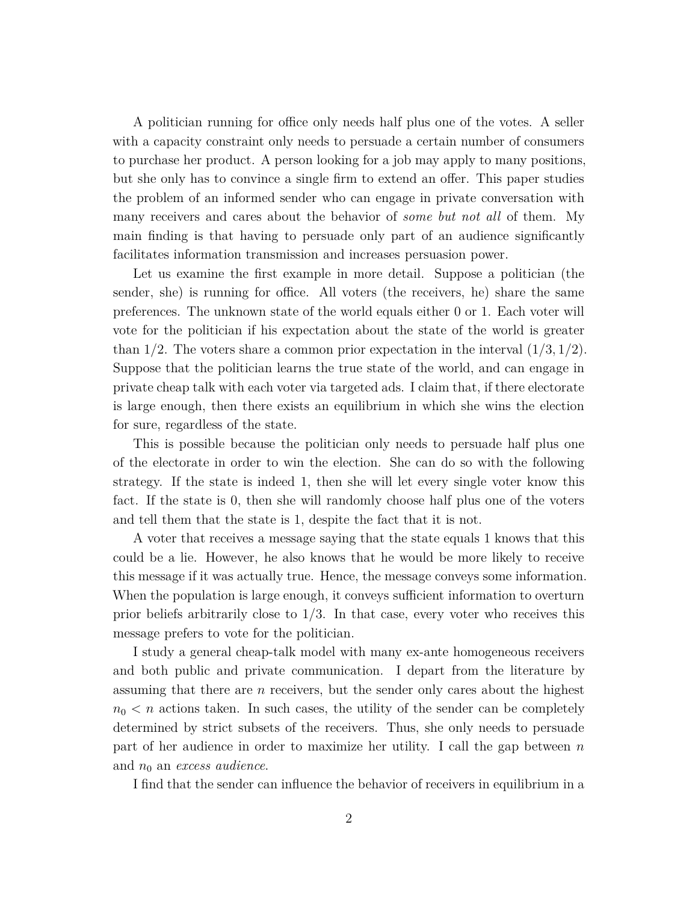A politician running for office only needs half plus one of the votes. A seller with a capacity constraint only needs to persuade a certain number of consumers to purchase her product. A person looking for a job may apply to many positions, but she only has to convince a single firm to extend an offer. This paper studies the problem of an informed sender who can engage in private conversation with many receivers and cares about the behavior of *some but not all* of them. My main finding is that having to persuade only part of an audience significantly facilitates information transmission and increases persuasion power.

Let us examine the first example in more detail. Suppose a politician (the sender, she) is running for office. All voters (the receivers, he) share the same preferences. The unknown state of the world equals either 0 or 1. Each voter will vote for the politician if his expectation about the state of the world is greater than 1/2. The voters share a common prior expectation in the interval  $(1/3, 1/2)$ . Suppose that the politician learns the true state of the world, and can engage in private cheap talk with each voter via targeted ads. I claim that, if there electorate is large enough, then there exists an equilibrium in which she wins the election for sure, regardless of the state.

This is possible because the politician only needs to persuade half plus one of the electorate in order to win the election. She can do so with the following strategy. If the state is indeed 1, then she will let every single voter know this fact. If the state is 0, then she will randomly choose half plus one of the voters and tell them that the state is 1, despite the fact that it is not.

A voter that receives a message saying that the state equals 1 knows that this could be a lie. However, he also knows that he would be more likely to receive this message if it was actually true. Hence, the message conveys some information. When the population is large enough, it conveys sufficient information to overturn prior beliefs arbitrarily close to 1*/*3. In that case, every voter who receives this message prefers to vote for the politician.

I study a general cheap-talk model with many ex-ante homogeneous receivers and both public and private communication. I depart from the literature by assuming that there are *n* receivers, but the sender only cares about the highest  $n_0 < n$  actions taken. In such cases, the utility of the sender can be completely determined by strict subsets of the receivers. Thus, she only needs to persuade part of her audience in order to maximize her utility. I call the gap between *n* and *n*<sup>0</sup> an *excess audience*.

I find that the sender can influence the behavior of receivers in equilibrium in a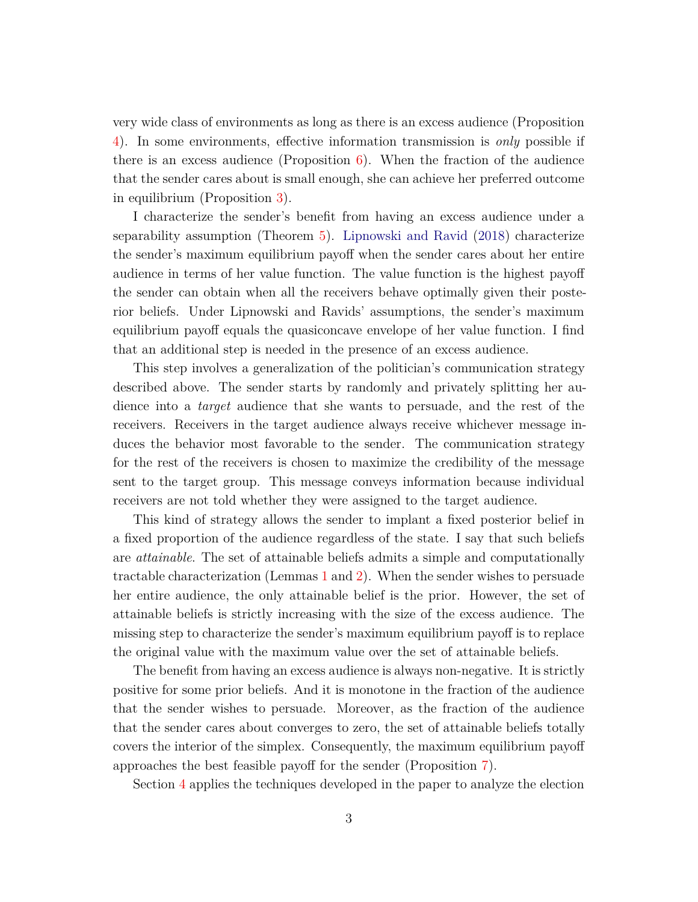very wide class of environments as long as there is an excess audience (Proposition [4\)](#page-10-0). In some environments, effective information transmission is *only* possible if there is an excess audience (Proposition  $6$ ). When the fraction of the audience that the sender cares about is small enough, she can achieve her preferred outcome in equilibrium (Proposition [3\)](#page-10-1).

I characterize the sender's benefit from having an excess audience under a separability assumption (Theorem [5\)](#page-11-0). [Lipnowski and Ravid](#page-19-2) [\(2018](#page-19-2)) characterize the sender's maximum equilibrium payoff when the sender cares about her entire audience in terms of her value function. The value function is the highest payoff the sender can obtain when all the receivers behave optimally given their posterior beliefs. Under Lipnowski and Ravids' assumptions, the sender's maximum equilibrium payoff equals the quasiconcave envelope of her value function. I find that an additional step is needed in the presence of an excess audience.

This step involves a generalization of the politician's communication strategy described above. The sender starts by randomly and privately splitting her audience into a *target* audience that she wants to persuade, and the rest of the receivers. Receivers in the target audience always receive whichever message induces the behavior most favorable to the sender. The communication strategy for the rest of the receivers is chosen to maximize the credibility of the message sent to the target group. This message conveys information because individual receivers are not told whether they were assigned to the target audience.

This kind of strategy allows the sender to implant a fixed posterior belief in a fixed proportion of the audience regardless of the state. I say that such beliefs are *attainable*. The set of attainable beliefs admits a simple and computationally tractable characterization (Lemmas [1](#page-7-0) and [2\)](#page-8-0). When the sender wishes to persuade her entire audience, the only attainable belief is the prior. However, the set of attainable beliefs is strictly increasing with the size of the excess audience. The missing step to characterize the sender's maximum equilibrium payoff is to replace the original value with the maximum value over the set of attainable beliefs.

The benefit from having an excess audience is always non-negative. It is strictly positive for some prior beliefs. And it is monotone in the fraction of the audience that the sender wishes to persuade. Moreover, as the fraction of the audience that the sender cares about converges to zero, the set of attainable beliefs totally covers the interior of the simplex. Consequently, the maximum equilibrium payoff approaches the best feasible payoff for the sender (Proposition [7\)](#page-12-1).

Section [4](#page-13-0) applies the techniques developed in the paper to analyze the election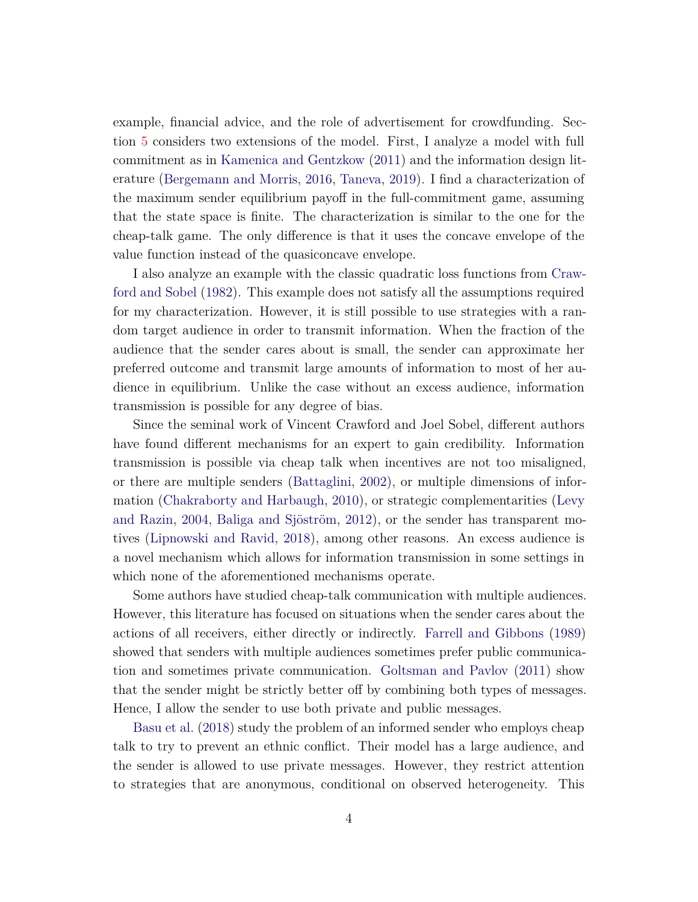example, financial advice, and the role of advertisement for crowdfunding. Section [5](#page-16-0) considers two extensions of the model. First, I analyze a model with full commitment as in [Kamenica and Gentzkow](#page-19-1) [\(2011\)](#page-19-1) and the information design literature [\(Bergemann and Morris](#page-19-3), [2016](#page-19-3), [Taneva,](#page-20-0) [2019](#page-20-0)). I find a characterization of the maximum sender equilibrium payoff in the full-commitment game, assuming that the state space is finite. The characterization is similar to the one for the cheap-talk game. The only difference is that it uses the concave envelope of the value function instead of the quasiconcave envelope.

I also anal[yze an example with the classic quadratic loss functions from](#page-19-0) Crawford and Sobel [\(1982](#page-19-0)). This example does not satisfy all the assumptions required for my characterization. However, it is still possible to use strategies with a random target audience in order to transmit information. When the fraction of the audience that the sender cares about is small, the sender can approximate her preferred outcome and transmit large amounts of information to most of her audience in equilibrium. Unlike the case without an excess audience, information transmission is possible for any degree of bias.

Since the seminal work of Vincent Crawford and Joel Sobel, different authors have found different mechanisms for an expert to gain credibility. Information transmission is possible via cheap talk when incentives are not too misaligned, or there are multiple senders [\(Battaglini](#page-19-4), [2002](#page-19-4)), or multiple dimensions of information [\(Chakraborty and Harbaugh,](#page-19-5) [2010](#page-19-5)[\), or strategic complementarities \(](#page-19-6)Levy and Razin, [2004,](#page-19-6) [Baliga and Sjöström](#page-18-0), [2012\)](#page-18-0), or the sender has transparent motives [\(Lipnowski and Ravid,](#page-19-2) [2018](#page-19-2)), among other reasons. An excess audience is a novel mechanism which allows for information transmission in some settings in which none of the aforementioned mechanisms operate.

Some authors have studied cheap-talk communication with multiple audiences. However, this literature has focused on situations when the sender cares about the actions of all receivers, either directly or indirectly. [Farrell and Gibbons](#page-19-7) [\(1989\)](#page-19-7) showed that senders with multiple audiences sometimes prefer public communication and sometimes private communication. [Goltsman and Pavlov](#page-19-8) [\(2011\)](#page-19-8) show that the sender might be strictly better off by combining both types of messages. [Hence, I allow](#page-18-1) the sender to use both private and public messages.

Basu et al. [\(2018](#page-18-1)) study the problem of an informed sender who employs cheap talk to try to prevent an ethnic conflict. Their model has a large audience, and the sender is allowed to use private messages. However, they restrict attention to strategies that are anonymous, conditional on observed heterogeneity. This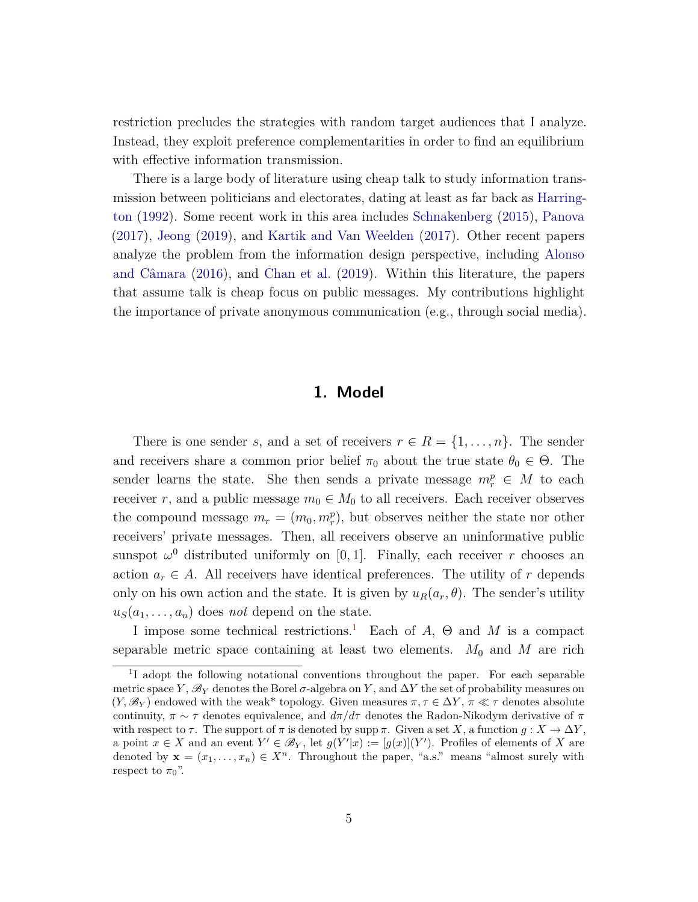restriction precludes the strategies with random target audiences that I analyze. Instead, they exploit preference complementarities in order to find an equilibrium with effective information transmission.

There is a large body of literature using cheap talk to study information transmi[ssion between politicians and electorates, dating at least as far back as](#page-19-9) Harrington [\(1992](#page-19-9)). Some recent work in this area includes [Schnakenberg](#page-20-1) [\(2015](#page-20-1)), [Panova](#page-20-2) [\(2017\)](#page-20-2), [Jeong](#page-19-10) [\(2019\)](#page-19-10), and [Kartik and Van Weelden](#page-19-11) [\(2017\)](#page-19-11). Other recent papers analyze the [problem from the information design perspective, including](#page-18-2) Alonso and Câmara [\(2016\)](#page-18-2), and [Chan et al.](#page-19-12) [\(2019](#page-19-12)). Within this literature, the papers that assume talk is cheap focus on public messages. My contributions highlight the importance of private anonymous communication (e.g., through social media).

## **1. Model**

There is one sender *s*, and a set of receivers  $r \in R = \{1, \ldots, n\}$ . The sender and receivers share a common prior belief  $\pi_0$  about the true state  $\theta_0 \in \Theta$ . The sender learns the state. She then sends a private message  $m_r^p \in M$  to each receiver *r*, and a public message  $m_0 \in M_0$  to all receivers. Each receiver observes the compound message  $m_r = (m_0, m_r^p)$ , but observes neither the state nor other receivers' private messages. Then, all receivers observe an uninformative public sunspot  $\omega^0$  distributed uniformly on [0,1]. Finally, each receiver *r* chooses an action  $a_r \in A$ . All receivers have identical preferences. The utility of *r* depends only on his own action and the state. It is given by  $u_R(a_r, \theta)$ . The sender's utility  $u_S(a_1, \ldots, a_n)$  does *not* depend on the state.

I impose some technical restrictions.[1](#page-4-0) Each of *A*, Θ and *M* is a compact separable metric space containing at least two elements.  $M_0$  and  $M$  are rich

<span id="page-4-0"></span><sup>&</sup>lt;sup>1</sup>I adopt the following notational conventions throughout the paper. For each separable metric space *Y*,  $\mathscr{B}_Y$  denotes the Borel  $\sigma$ -algebra on *Y*, and  $\Delta Y$  the set of probability measures on  $(Y, \mathscr{B}_Y)$  endowed with the weak\* topology. Given measures  $\pi, \tau \in \Delta Y$ ,  $\pi \ll \tau$  denotes absolute continuity,  $\pi \sim \tau$  denotes equivalence, and  $d\pi/d\tau$  denotes the Radon-Nikodym derivative of  $\pi$ with respect to  $\tau$ . The support of  $\pi$  is denoted by supp  $\pi$ . Given a set *X*, a function  $g: X \to \Delta Y$ , a point  $x \in X$  and an event  $Y' \in \mathscr{B}_Y$ , let  $g(Y'|x) := [g(x)](Y')$ . Profiles of elements of *X* are denoted by  $\mathbf{x} = (x_1, \ldots, x_n) \in X^n$ . Throughout the paper, "a.s." means "almost surely with respect to  $\pi_0$ ".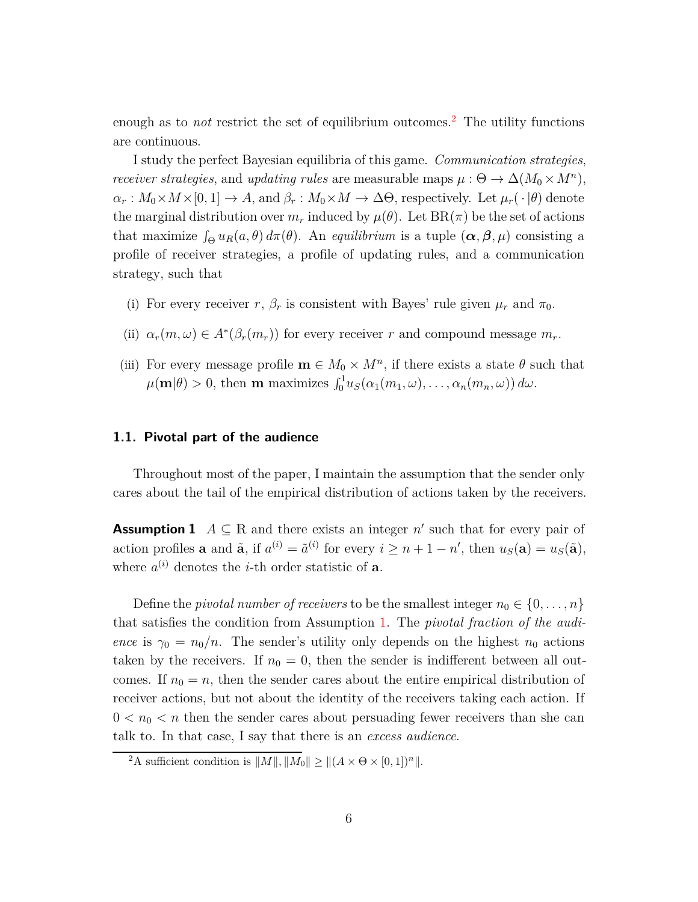enough as to *not* restrict the set of equilibrium outcomes.[2](#page-5-0) The utility functions are continuous.

I study the perfect Bayesian equilibria of this game. *Communication strategies*, *receiver strategies*, and *updating rules* are measurable maps  $\mu$  :  $\Theta \to \Delta(M_0 \times M^n)$ ,  $\alpha_r : M_0 \times M \times [0,1] \to A$ , and  $\beta_r : M_0 \times M \to \Delta \Theta$ , respectively. Let  $\mu_r(\cdot | \theta)$  denote the marginal distribution over  $m_r$  induced by  $\mu(\theta)$ . Let  $BR(\pi)$  be the set of actions that maximize  $\int_{\Theta} u_R(a, \theta) d\pi(\theta)$ . An *equilibrium* is a tuple  $(\alpha, \beta, \mu)$  consisting a profile of receiver strategies, a profile of updating rules, and a communication strategy, such that

- (i) For every receiver *r*,  $\beta_r$  is consistent with Bayes' rule given  $\mu_r$  and  $\pi_0$ .
- (ii)  $\alpha_r(m,\omega) \in A^*(\beta_r(m_r))$  for every receiver *r* and compound message  $m_r$ .
- (iii) For every message profile  $\mathbf{m} \in M_0 \times M^n$ , if there exists a state  $\theta$  such that  $\mu(\mathbf{m}|\theta) > 0$ , then **m** maximizes  $\int_0^1 u_S(\alpha_1(m_1,\omega), \ldots, \alpha_n(m_n,\omega)) d\omega$ .

## **1.1. Pivotal part of the audience**

Throughout most of the paper, I maintain the assumption that the sender only cares about the tail of the empirical distribution of actions taken by the receivers.

<span id="page-5-1"></span>**Assumption 1**  $A \subseteq \mathbb{R}$  and there exists an integer  $n'$  such that for every pair of action profiles **a** and  $\tilde{\mathbf{a}}$ , if  $a^{(i)} = \tilde{a}^{(i)}$  for every  $i \geq n + 1 - n'$ , then  $u_S(\mathbf{a}) = u_S(\tilde{\mathbf{a}})$ , where  $a^{(i)}$  denotes the *i*-th order statistic of **a**.

Define the *pivotal number of receivers* to be the smallest integer  $n_0 \in \{0, \ldots, n\}$ that satisfies the condition from Assumption [1.](#page-5-1) The *pivotal fraction of the audience* is  $\gamma_0 = n_0/n$ . The sender's utility only depends on the highest  $n_0$  actions taken by the receivers. If  $n_0 = 0$ , then the sender is indifferent between all outcomes. If  $n_0 = n$ , then the sender cares about the entire empirical distribution of receiver actions, but not about the identity of the receivers taking each action. If  $0 < n_0 < n$  then the sender cares about persuading fewer receivers than she can talk to. In that case, I say that there is an *excess audience*.

<span id="page-5-0"></span><sup>&</sup>lt;sup>2</sup>A sufficient condition is  $||M||$ ,  $||M_0|| \geq ||(A \times \Theta \times [0, 1])^n||$ .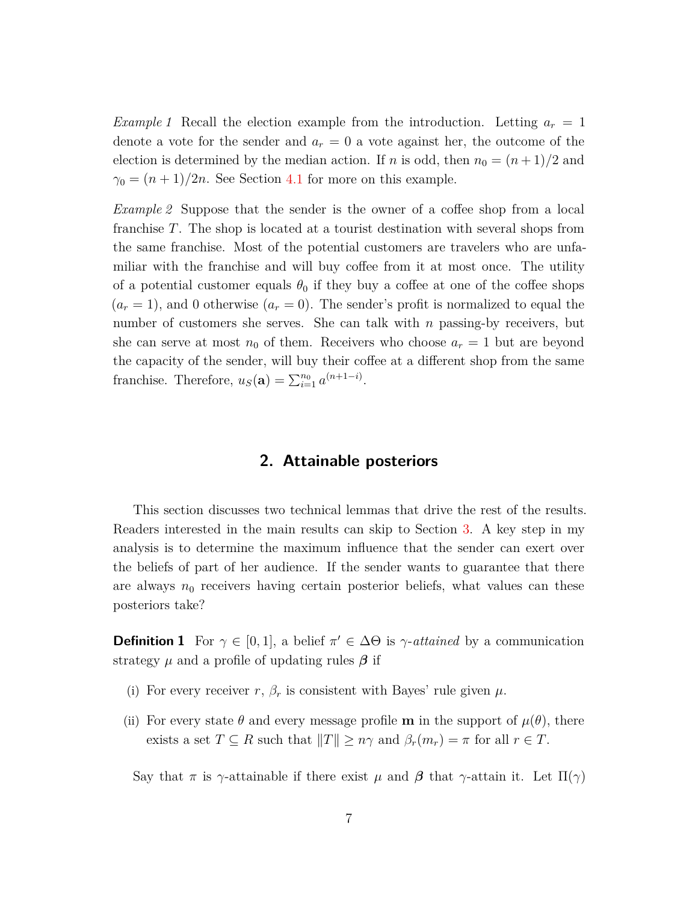*Example 1* Recall the election example from the introduction. Letting  $a_r = 1$ denote a vote for the sender and  $a_r = 0$  a vote against her, the outcome of the election is determined by the median action. If *n* is odd, then  $n_0 = (n+1)/2$  and  $\gamma_0 = (n+1)/2n$ . See Section [4.1](#page-13-1) for more on this example.

*Example 2* Suppose that the sender is the owner of a coffee shop from a local franchise *T*. The shop is located at a tourist destination with several shops from the same franchise. Most of the potential customers are travelers who are unfamiliar with the franchise and will buy coffee from it at most once. The utility of a potential customer equals  $\theta_0$  if they buy a coffee at one of the coffee shops  $(a_r = 1)$ , and 0 otherwise  $(a_r = 0)$ . The sender's profit is normalized to equal the number of customers she serves. She can talk with *n* passing-by receivers, but she can serve at most  $n_0$  of them. Receivers who choose  $a_r = 1$  but are beyond the capacity of the sender, will buy their coffee at a different shop from the same franchise. Therefore,  $u_S(\mathbf{a}) = \sum_{i=1}^{n_0} a^{(n+1-i)}$ .

# **2. Attainable posteriors**

<span id="page-6-0"></span>This section discusses two technical lemmas that drive the rest of the results. Readers interested in the main results can skip to Section [3.](#page-9-0) A key step in my analysis is to determine the maximum influence that the sender can exert over the beliefs of part of her audience. If the sender wants to guarantee that there are always  $n_0$  receivers having certain posterior beliefs, what values can these posteriors take?

**Definition 1** For  $\gamma \in [0, 1]$ , a belief  $\pi' \in \Delta\Theta$  is  $\gamma$ -attained by a communication strategy *µ* and a profile of updating rules *β* if

- (i) For every receiver  $r, \beta_r$  is consistent with Bayes' rule given  $\mu$ .
- (ii) For every state  $\theta$  and every message profile **m** in the support of  $\mu(\theta)$ , there exists a set  $T \subseteq R$  such that  $||T|| \geq n\gamma$  and  $\beta_r(m_r) = \pi$  for all  $r \in T$ .

Say that  $\pi$  is  $\gamma$ -attainable if there exist  $\mu$  and  $\beta$  that  $\gamma$ -attain it. Let  $\Pi(\gamma)$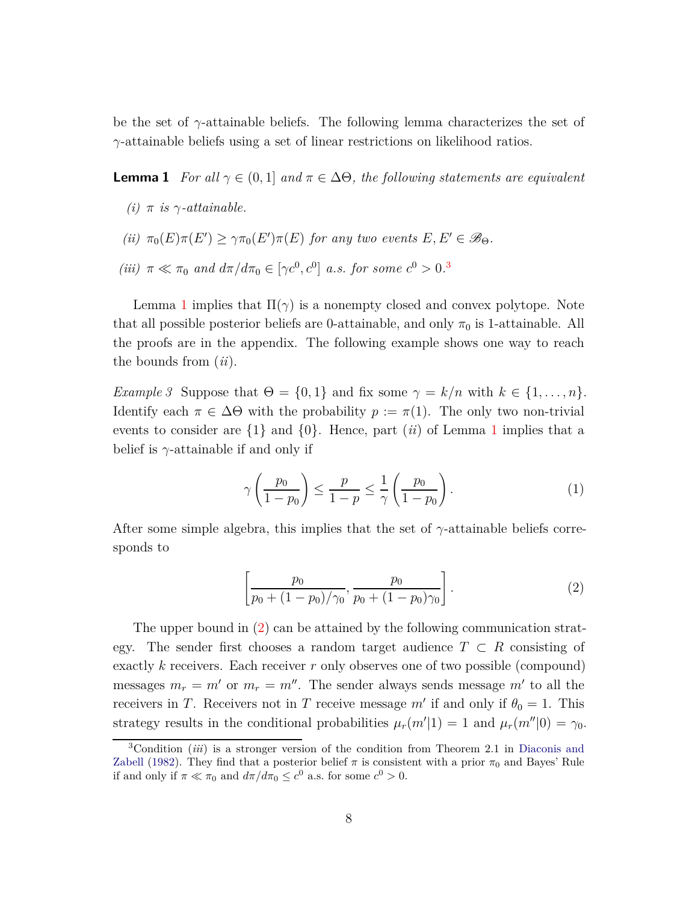be the set of  $\gamma$ -attainable beliefs. The following lemma characterizes the set of *γ*-attainable beliefs using a set of linear restrictions on likelihood ratios.

<span id="page-7-0"></span>**Lemma 1** *For all*  $\gamma \in (0,1]$  *and*  $\pi \in \Delta\Theta$ *, the following statements are equivalent* 

- $(i)$   $\pi$  *is*  $\gamma$ *-attainable.*
- *(ii)*  $\pi_0(E)\pi(E') \geq \gamma \pi_0(E')\pi(E)$  *for any two events*  $E, E' \in \mathscr{B}_{\Theta}$ *. (iii)*  $\pi \ll \pi_0$  *and*  $d\pi/d\pi_0 \in [\gamma c^0, c^0]$  *a.s. for some*  $c^0 > 0$ .<sup>[3](#page-7-1)</sup>

Lemma [1](#page-7-0) implies that  $\Pi(\gamma)$  is a nonempty closed and convex polytope. Note that all possible posterior beliefs are 0-attainable, and only  $\pi_0$  is 1-attainable. All the proofs are in the appendix. The following example shows one way to reach the bounds from (*ii*).

*Example 3* Suppose that  $\Theta = \{0, 1\}$  and fix some  $\gamma = k/n$  with  $k \in \{1, ..., n\}$ . Identify each  $\pi \in \Delta\Theta$  with the probability  $p := \pi(1)$ . The only two non-trivial events to consider are  $\{1\}$  $\{1\}$  $\{1\}$  and  $\{0\}$ . Hence, part *(ii)* of Lemma 1 implies that a belief is *γ*-attainable if and only if

<span id="page-7-3"></span>
$$
\gamma\left(\frac{p_0}{1-p_0}\right) \le \frac{p}{1-p} \le \frac{1}{\gamma}\left(\frac{p_0}{1-p_0}\right). \tag{1}
$$

After some simple algebra, this implies that the set of *γ*-attainable beliefs corresponds to

<span id="page-7-2"></span>
$$
\left[\frac{p_0}{p_0 + (1 - p_0)/\gamma_0}, \frac{p_0}{p_0 + (1 - p_0)/\gamma_0}\right].
$$
\n(2)

The upper bound in [\(2\)](#page-7-2) can be attained by the following communication strategy. The sender first chooses a random target audience  $T \subset R$  consisting of exactly *k* receivers. Each receiver *r* only observes one of two possible (compound) messages  $m_r = m'$  or  $m_r = m''$ . The sender always sends message  $m'$  to all the receivers in *T*. Receivers not in *T* receive message  $m'$  if and only if  $\theta_0 = 1$ . This strategy results in the conditional probabilities  $\mu_r(m'|1) = 1$  and  $\mu_r(m''|0) = \gamma_0$ .

<span id="page-7-1"></span><sup>3</sup>Condition (*iii*[\) is a stronger version of the condition from Theorem 2.1 in](#page-19-13) Diaconis and Zabell [\(1982](#page-19-13)). They find that a posterior belief  $\pi$  is consistent with a prior  $\pi_0$  and Bayes' Rule if and only if  $\pi \ll \pi_0$  and  $d\pi/d\pi_0 \leq c^0$  a.s. for some  $c^0 > 0$ .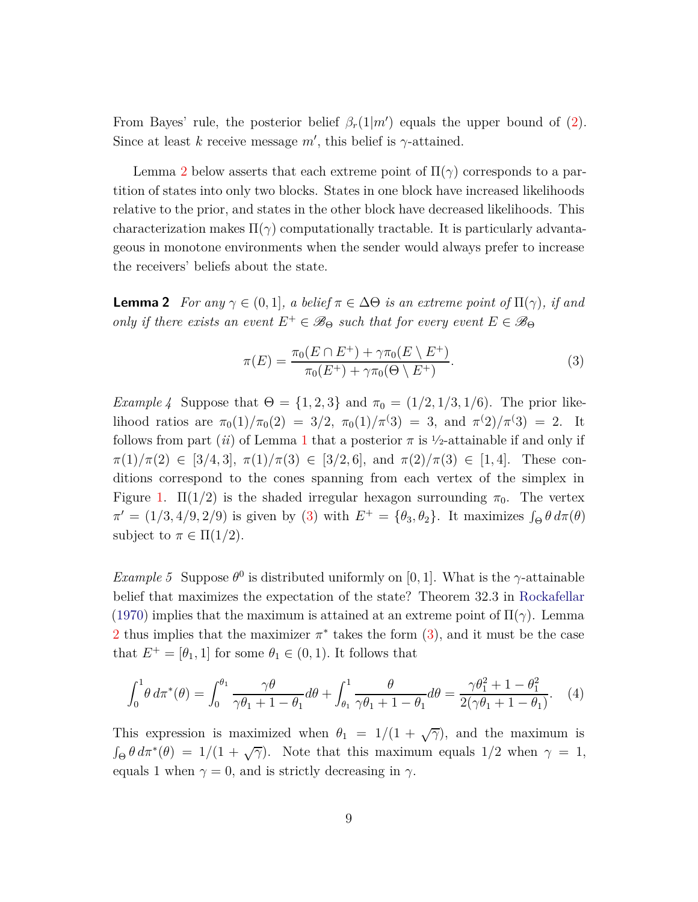From Bayes' rule, the posterior belief  $\beta_r(1|m')$  equals the upper bound of [\(2\)](#page-7-2). Since at least *k* receive message  $m'$ , this belief is  $\gamma$ -attained.

Lemma [2](#page-8-0) below asserts that each extreme point of  $\Pi(\gamma)$  corresponds to a partition of states into only two blocks. States in one block have increased likelihoods relative to the prior, and states in the other block have decreased likelihoods. This characterization makes  $\Pi(\gamma)$  computationally tractable. It is particularly advantageous in monotone environments when the sender would always prefer to increase the receivers' beliefs about the state.

<span id="page-8-0"></span>**Lemma 2** *For any*  $\gamma \in (0,1]$ *, a belief*  $\pi \in \Delta\Theta$  *is an extreme point of*  $\Pi(\gamma)$ *, if and only if there exists an event*  $E^+ \in \mathcal{B}_{\Theta}$  *such that for every event*  $E \in \mathcal{B}_{\Theta}$ 

<span id="page-8-1"></span>
$$
\pi(E) = \frac{\pi_0(E \cap E^+) + \gamma \pi_0(E \setminus E^+)}{\pi_0(E^+) + \gamma \pi_0(\Theta \setminus E^+)}.
$$
\n(3)

<span id="page-8-2"></span>*Example 4* Suppose that  $\Theta = \{1, 2, 3\}$  and  $\pi_0 = (1/2, 1/3, 1/6)$ . The prior likelihood ratios are  $\pi_0(1)/\pi_0(2) = 3/2$ ,  $\pi_0(1)/\pi(3) = 3$ , and  $\pi(2)/\pi(3) = 2$ . It follows from part (*ii*) of Lemma [1](#page-7-0) that a posterior  $\pi$  is  $\frac{1}{2}$ -attainable if and only if  $\pi(1)/\pi(2) \in [3/4, 3], \pi(1)/\pi(3) \in [3/2, 6], \text{ and } \pi(2)/\pi(3) \in [1, 4].$  These conditions correspond to the cones spanning from each vertex of the simplex in Figure [1.](#page-9-1)  $\Pi(1/2)$  is the shaded irregular hexagon surrounding  $\pi_0$ . The vertex  $\pi' = (1/3, 4/9, 2/9)$  is given by [\(3\)](#page-8-1) with  $E^+ = {\theta_3, \theta_2}$ . It maximizes  $\int_{\Theta} \theta \, d\pi(\theta)$ subject to  $\pi \in \Pi(1/2)$ .

<span id="page-8-3"></span>*Example 5* Suppose  $\theta^0$  is distributed uniformly on [0, 1]. What is the *γ*-attainable belief that maximizes the expectation of the state? Theorem 32.3 in [Rockafellar](#page-20-3) [\(1970\)](#page-20-3) implies that the maximum is attained at an extreme point of  $\Pi(\gamma)$ . Lemma [2](#page-8-0) thus implies that the maximizer  $\pi^*$  takes the form  $(3)$ , and it must be the case that  $E^+ = [\theta_1, 1]$  for some  $\theta_1 \in (0, 1)$ . It follows that

$$
\int_0^1 \theta \, d\pi^*(\theta) = \int_0^{\theta_1} \frac{\gamma \theta}{\gamma \theta_1 + 1 - \theta_1} d\theta + \int_{\theta_1}^1 \frac{\theta}{\gamma \theta_1 + 1 - \theta_1} d\theta = \frac{\gamma \theta_1^2 + 1 - \theta_1^2}{2(\gamma \theta_1 + 1 - \theta_1)}.
$$
 (4)

This expression is maximized when  $\theta_1 = 1/(1 + \sqrt{\gamma})$ , and the maximum is  $\int_{\Theta} \theta \, d\pi^*(\theta) = 1/(1 + \sqrt{\gamma})$ . Note that this maximum equals 1/2 when  $\gamma = 1$ , equals 1 when  $\gamma = 0$ , and is strictly decreasing in  $\gamma$ .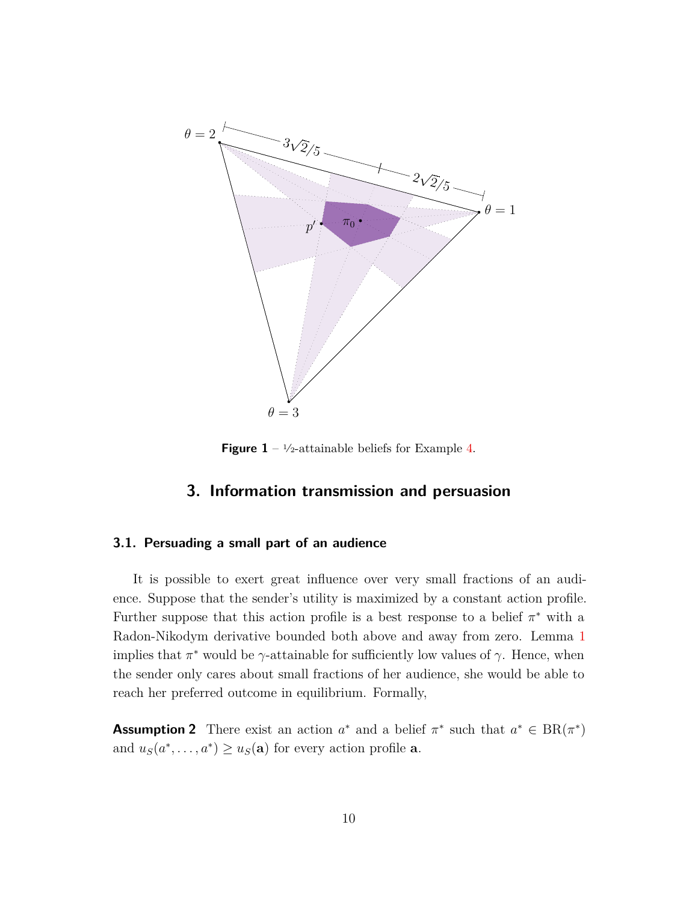<span id="page-9-1"></span>

**Figure 1** –  $\frac{1}{2}$ -attainable beliefs for Example [4.](#page-8-2)

# **3. Information transmission and persuasion**

### <span id="page-9-0"></span>**3.1. Persuading a small part of an audience**

It is possible to exert great influence over very small fractions of an audience. Suppose that the sender's utility is maximized by a constant action profile. Further suppose that this action profile is a best response to a belief  $\pi^*$  with a Radon-Nikodym derivative bounded both above and away from zero. Lemma [1](#page-7-0) implies that  $\pi^*$  would be  $\gamma$ -attainable for sufficiently low values of  $\gamma$ . Hence, when the sender only cares about small fractions of her audience, she would be able to reach her preferred outcome in equilibrium. Formally,

<span id="page-9-2"></span>**Assumption 2** There exist an action  $a^*$  and a belief  $\pi^*$  such that  $a^* \in BR(\pi^*)$ and  $u_S(a^*, \ldots, a^*) \ge u_S(\mathbf{a})$  for every action profile **a**.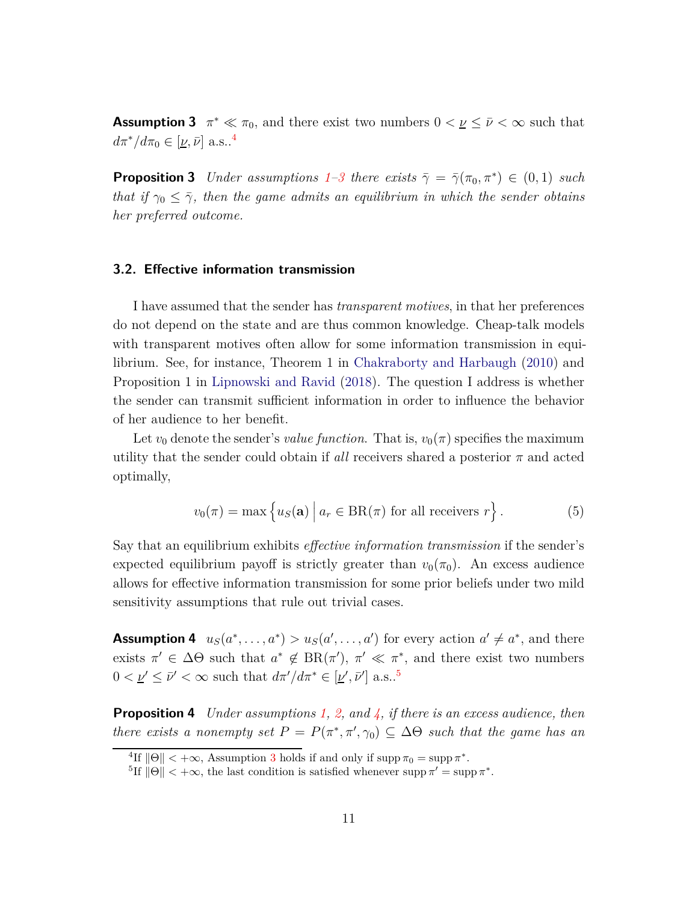<span id="page-10-3"></span>**Assumption 3**  $\pi^* \ll \pi_0$ , and there exist two numbers  $0 < \underline{\nu} \leq \bar{\nu} < \infty$  such that  $d\pi^*/d\pi_0 \in [\underline{\nu}, \bar{\nu}]$  a.s..<sup>[4](#page-10-2)</sup>

<span id="page-10-1"></span>**Proposition 3** *Under assumptions*  $1-\beta$  $1-\beta$  *there exists*  $\bar{\gamma} = \bar{\gamma}(\pi_0, \pi^*) \in (0, 1)$  *such that if*  $\gamma_0 \leq \overline{\gamma}$ *, then the game admits an equilibrium in which the sender obtains her preferred outcome.*

## **3.2. Effective information transmission**

I have assumed that the sender has *transparent motives*, in that her preferences do not depend on the state and are thus common knowledge. Cheap-talk models with transparent motives often allow for some information transmission in equilibrium. See, for instance, Theorem 1 in [Chakraborty and Harbaugh](#page-19-5) [\(2010](#page-19-5)) and Proposition 1 in [Lipnowski and Ravid](#page-19-2) [\(2018](#page-19-2)). The question I address is whether the sender can transmit sufficient information in order to influence the behavior of her audience to her benefit.

Let  $v_0$  denote the sender's *value function*. That is,  $v_0(\pi)$  specifies the maximum utility that the sender could obtain if *all* receivers shared a posterior  $\pi$  and acted optimally,

$$
v_0(\pi) = \max \left\{ u_S(\mathbf{a}) \mid a_r \in \text{BR}(\pi) \text{ for all receivers } r \right\}.
$$
 (5)

Say that an equilibrium exhibits *effective information transmission* if the sender's expected equilibrium payoff is strictly greater than  $v_0(\pi_0)$ . An excess audience allows for effective information transmission for some prior beliefs under two mild sensitivity assumptions that rule out trivial cases.

<span id="page-10-5"></span>**Assumption 4**  $u_S(a^*, \ldots, a^*) > u_S(a', \ldots, a')$  for every action  $a' \neq a^*$ , and there exists  $\pi' \in \Delta\Theta$  such that  $a^* \notin BR(\pi')$ ,  $\pi' \ll \pi^*$ , and there exist two numbers  $0 < \underline{\nu}' \leq \bar{\nu}' < \infty$  such that  $d\pi'/d\pi^* \in [\underline{\nu}', \bar{\nu}']$  a.s..<sup>[5](#page-10-4)</sup>

<span id="page-10-0"></span>**Proposition 4** *Under assumptions [1,](#page-5-1) [2,](#page-9-2) and [4,](#page-10-5) if there is an excess audience, then there exists a nonempty set*  $P = P(\pi^*, \pi', \gamma_0) \subseteq \Delta\Theta$  *such that the game has an* 

<sup>&</sup>lt;sup>4</sup>If  $\|\Theta\| < +\infty$ , Assumption [3](#page-10-3) holds if and only if supp  $\pi_0 = \sup \pi^*$ .

<span id="page-10-4"></span><span id="page-10-2"></span><sup>&</sup>lt;sup>5</sup>If  $\|\Theta\| < +\infty$ , the last condition is satisfied whenever supp  $\pi' = \text{supp }\pi^*$ .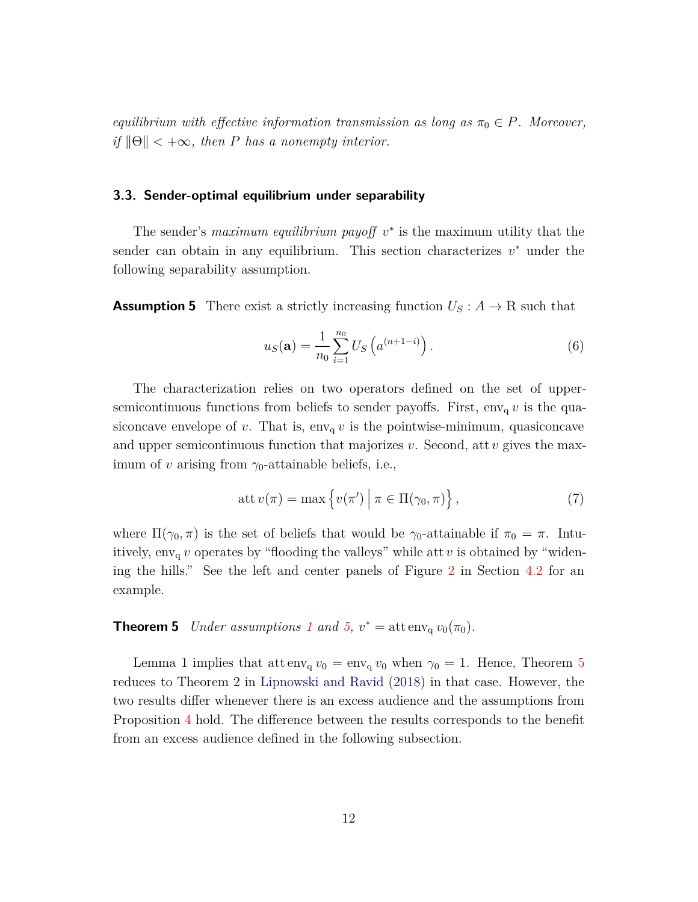*equilibrium with effective information transmission as long as*  $\pi_0 \in P$ *. Moreover, if*  $\|\Theta\|$  < + $\infty$ *, then P has a nonempty interior.* 

## **3.3. Sender-optimal equilibrium under separability**

The sender's *maximum equilibrium payoff*  $v^*$  is the maximum utility that the sender can obtain in any equilibrium. This section characterizes  $v^*$  under the following separability assumption.

<span id="page-11-1"></span>**Assumption 5** There exist a strictly increasing function  $U_s: A \to \mathbb{R}$  such that

$$
u_S(\mathbf{a}) = \frac{1}{n_0} \sum_{i=1}^{n_0} U_S \left( a^{(n+1-i)} \right).
$$
 (6)

The characterization relies on two operators defined on the set of uppersemicontinuous functions from beliefs to sender payoffs. First,  $env_q v$  is the quasiconcave envelope of *v*. That is,  $env_q v$  is the pointwise-minimum, quasiconcave and upper semicontinuous function that majorizes *v*. Second, att *v* gives the maximum of *v* arising from  $\gamma_0$ -attainable beliefs, i.e.,

$$
att v(\pi) = \max \{ v(\pi') \mid \pi \in \Pi(\gamma_0, \pi) \},
$$
\n(7)

where  $\Pi(\gamma_0, \pi)$  is the set of beliefs that would be  $\gamma_0$ -attainable if  $\pi_0 = \pi$ . Intuitively,  $env_q v$  operates by "flooding the valleys" while att  $v$  is obtained by "widening the hills." See the left and center panels of Figure [2](#page-15-0) in Section [4.2](#page-13-2) for an example.

# <span id="page-11-0"></span>**Theorem 5** *Under assumptions [1](#page-5-1) and 5*,  $v^* = \text{att} \operatorname{env}_q v_0(\pi_0)$ *.*

Lemma 1 implies that att  $env_q v_0 = env_q v_0$  when  $\gamma_0 = 1$ . Hence, Theorem [5](#page-11-0) reduces to Theorem 2 in [Lipnowski and Ravid](#page-19-2) [\(2018\)](#page-19-2) in that case. However, the two results differ whenever there is an excess audience and the assumptions from Proposition [4](#page-10-0) hold. The difference between the results corresponds to the benefit from an excess audience defined in the following subsection.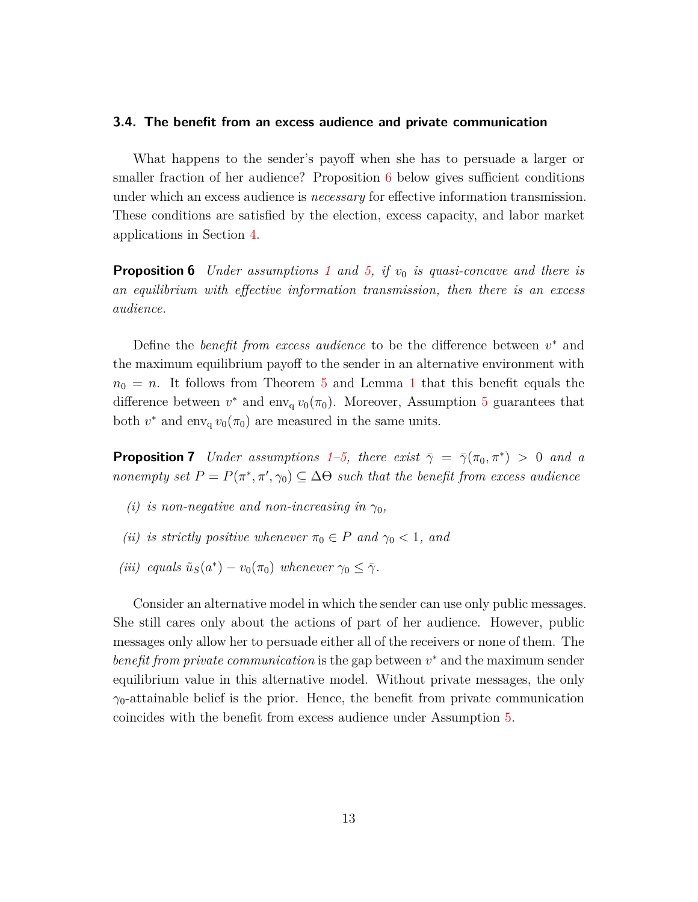### **3.4. The benefit from an excess audience and private communication**

What happens to the sender's payoff when she has to persuade a larger or smaller fraction of her audience? Proposition [6](#page-12-0) below gives sufficient conditions under which an excess audience is *necessary* for effective information transmission. These conditions are satisfied by the election, excess capacity, and labor market applications in Section [4.](#page-13-0)

<span id="page-12-0"></span>**Proposition 6** *Under assumptions [1](#page-5-1) and [5,](#page-11-1) if v*<sup>0</sup> *is quasi-concave and there is an equilibrium with effective information transmission, then there is an excess audience.*

Define the *benefit from excess audience* to be the difference between  $v^*$  and the maximum equilibrium payoff to the sender in an alternative environment with  $n_0 = n$ . It follows from Theorem [5](#page-11-0) and Lemma [1](#page-7-0) that this benefit equals the difference between  $v^*$  and env<sub>q</sub>  $v_0(\pi_0)$ . Moreover, Assumption [5](#page-11-1) guarantees that both  $v^*$  and env<sub>q</sub>  $v_0(\pi_0)$  are measured in the same units.

<span id="page-12-1"></span>**Proposition 7** *Under assumptions* [1–](#page-5-1)[5,](#page-11-1) *there exist*  $\bar{\gamma} = \bar{\gamma}(\pi_0, \pi^*) > 0$  *and a nonempty set*  $P = P(\pi^*, \pi', \gamma_0) \subseteq \Delta\Theta$  *such that the benefit from excess audience* 

- *(i) is non-negative and non-increasing in*  $\gamma_0$ *,*
- *(ii) is strictly positive whenever*  $\pi_0 \in P$  *and*  $\gamma_0 < 1$ *, and*
- *(iii) equals*  $\tilde{u}_S(a^*) v_0(\pi_0)$  *whenever*  $\gamma_0 \leq \overline{\gamma}$ *.*

Consider an alternative model in which the sender can use only public messages. She still cares only about the actions of part of her audience. However, public messages only allow her to persuade either all of the receivers or none of them. The *benefit from private communication* is the gap between  $v^*$  and the maximum sender equilibrium value in this alternative model. Without private messages, the only  $\gamma_0$ -attainable belief is the prior. Hence, the benefit from private communication coincides with the benefit from excess audience under Assumption [5.](#page-11-1)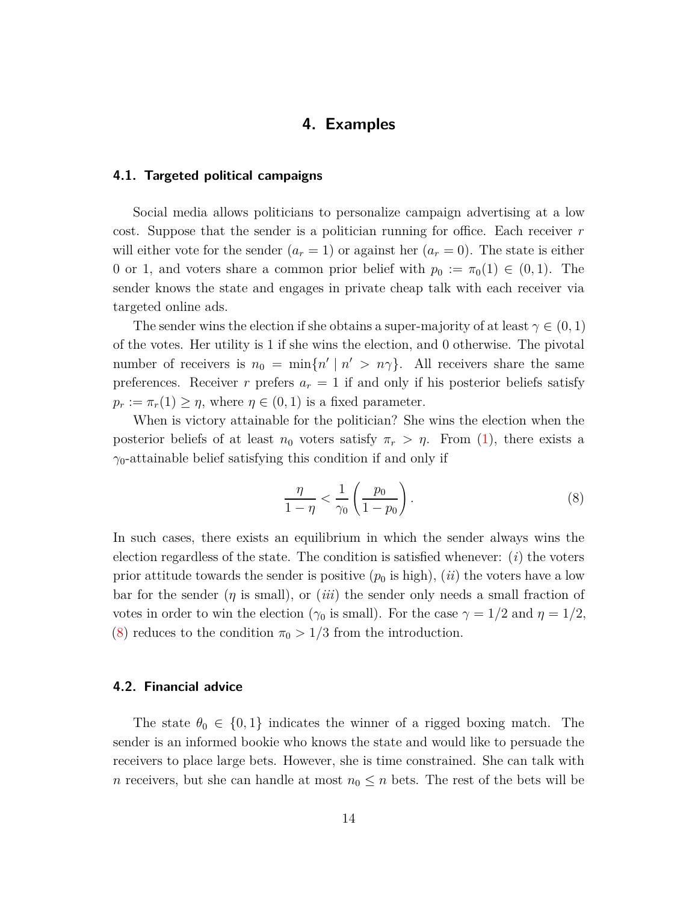# **4. Examples**

## <span id="page-13-1"></span><span id="page-13-0"></span>**4.1. Targeted political campaigns**

Social media allows politicians to personalize campaign advertising at a low cost. Suppose that the sender is a politician running for office. Each receiver *r* will either vote for the sender  $(a_r = 1)$  or against her  $(a_r = 0)$ . The state is either 0 or 1, and voters share a common prior belief with  $p_0 := \pi_0(1) \in (0,1)$ . The sender knows the state and engages in private cheap talk with each receiver via targeted online ads.

The sender wins the election if she obtains a super-majority of at least  $\gamma \in (0, 1)$ of the votes. Her utility is 1 if she wins the election, and 0 otherwise. The pivotal number of receivers is  $n_0 = \min\{n' \mid n' > n\gamma\}$ . All receivers share the same preferences. Receiver *r* prefers  $a_r = 1$  if and only if his posterior beliefs satisfy  $p_r := \pi_r(1) \geq \eta$ , where  $\eta \in (0,1)$  is a fixed parameter.

When is victory attainable for the politician? She wins the election when the posterior beliefs of at least  $n_0$  voters satisfy  $\pi_r > \eta$ . From [\(1\)](#page-7-3), there exists a *γ*0-attainable belief satisfying this condition if and only if

<span id="page-13-3"></span>
$$
\frac{\eta}{1-\eta} < \frac{1}{\gamma_0} \left( \frac{p_0}{1-p_0} \right). \tag{8}
$$

In such cases, there exists an equilibrium in which the sender always wins the election regardless of the state. The condition is satisfied whenever: (*i*) the voters prior attitude towards the sender is positive  $(p_0 \text{ is high})$ ,  $(ii)$  the voters have a low bar for the sender  $(\eta$  is small), or  $(iii)$  the sender only needs a small fraction of votes in order to win the election ( $\gamma_0$  is small). For the case  $\gamma = 1/2$  and  $\eta = 1/2$ , [\(8\)](#page-13-3) reduces to the condition  $\pi_0 > 1/3$  from the introduction.

## <span id="page-13-2"></span>**4.2. Financial advice**

The state  $\theta_0 \in \{0,1\}$  indicates the winner of a rigged boxing match. The sender is an informed bookie who knows the state and would like to persuade the receivers to place large bets. However, she is time constrained. She can talk with *n* receivers, but she can handle at most  $n_0 \leq n$  bets. The rest of the bets will be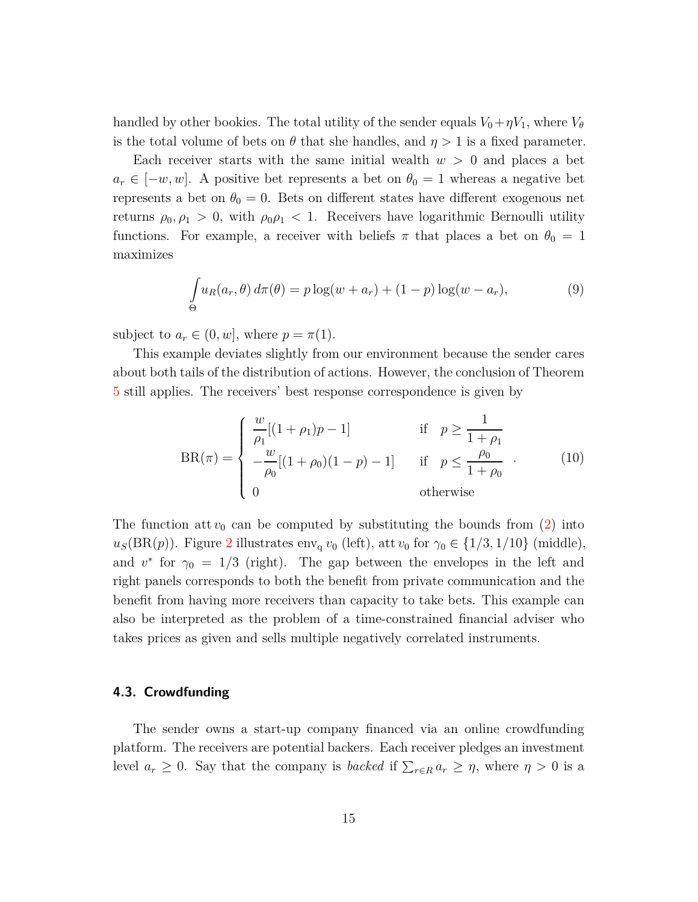handled by other bookies. The total utility of the sender equals  $V_0 + \eta V_1$ , where  $V_\theta$ is the total volume of bets on  $\theta$  that she handles, and  $\eta > 1$  is a fixed parameter.

Each receiver starts with the same initial wealth  $w > 0$  and places a bet  $a_r \in [-w, w]$ . A positive bet represents a bet on  $\theta_0 = 1$  whereas a negative bet represents a bet on  $\theta_0 = 0$ . Bets on different states have different exogenous net returns  $\rho_0, \rho_1 > 0$ , with  $\rho_0, \rho_1 < 1$ . Receivers have logarithmic Bernoulli utility functions. For example, a receiver with beliefs  $\pi$  that places a bet on  $\theta_0 = 1$ maximizes

$$
\int_{\Theta} u_R(a_r, \theta) d\pi(\theta) = p \log(w + a_r) + (1 - p) \log(w - a_r),\tag{9}
$$

subject to  $a_r \in (0, w]$ , where  $p = \pi(1)$ .

This example deviates slightly from our environment because the sender cares about both tails of the distribution of actions. However, the conclusion of Theorem [5](#page-11-0) still applies. The receivers' best response correspondence is given by

$$
BR(\pi) = \begin{cases} \frac{w}{\rho_1} [(1+\rho_1)p - 1] & \text{if } p \ge \frac{1}{1+\rho_1} \\ -\frac{w}{\rho_0} [(1+\rho_0)(1-p) - 1] & \text{if } p \le \frac{\rho_0}{1+\rho_0} \\ 0 & \text{otherwise} \end{cases}
$$
(10)

The function att  $v_0$  can be computed by substituting the bounds from  $(2)$  into  $u<sub>S</sub>(BR(p))$ . Figure [2](#page-15-0) illustrates env<sub>q</sub> *v*<sub>0</sub> (left), att *v*<sub>0</sub> for  $\gamma_0 \in \{1/3, 1/10\}$  (middle), and  $v^*$  for  $\gamma_0 = 1/3$  (right). The gap between the envelopes in the left and right panels corresponds to both the benefit from private communication and the benefit from having more receivers than capacity to take bets. This example can also be interpreted as the problem of a time-constrained financial adviser who takes prices as given and sells multiple negatively correlated instruments.

## **4.3. Crowdfunding**

The sender owns a start-up company financed via an online crowdfunding platform. The receivers are potential backers. Each receiver pledges an investment level  $a_r \geq 0$ . Say that the company is *backed* if  $\sum_{r \in R} a_r \geq \eta$ , where  $\eta > 0$  is a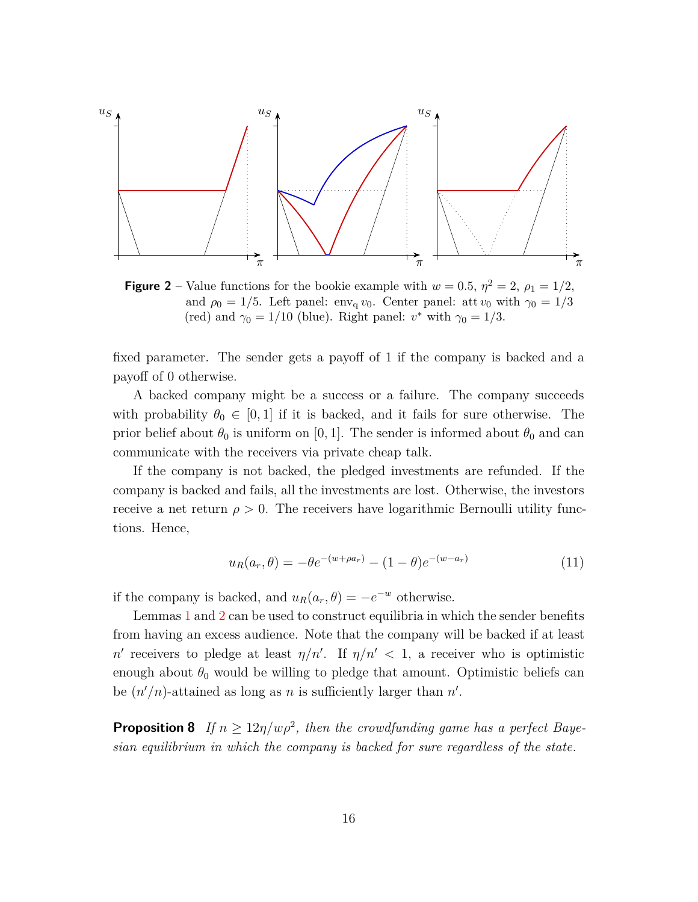<span id="page-15-0"></span>

**Figure 2** – Value functions for the bookie example with  $w = 0.5$ ,  $\eta^2 = 2$ ,  $\rho_1 = 1/2$ , and  $\rho_0 = 1/5$ . Left panel: env<sub>q</sub> *v*<sub>0</sub>. Center panel: att *v*<sub>0</sub> with  $\gamma_0 = 1/3$ (red) and  $\gamma_0 = 1/10$  (blue). Right panel:  $v^*$  with  $\gamma_0 = 1/3$ .

fixed parameter. The sender gets a payoff of 1 if the company is backed and a payoff of 0 otherwise.

A backed company might be a success or a failure. The company succeeds with probability  $\theta_0 \in [0, 1]$  if it is backed, and it fails for sure otherwise. The prior belief about  $\theta_0$  is uniform on [0, 1]. The sender is informed about  $\theta_0$  and can communicate with the receivers via private cheap talk.

If the company is not backed, the pledged investments are refunded. If the company is backed and fails, all the investments are lost. Otherwise, the investors receive a net return  $\rho > 0$ . The receivers have logarithmic Bernoulli utility functions. Hence,

$$
u_R(a_r, \theta) = -\theta e^{-(w + \rho a_r)} - (1 - \theta)e^{-(w - a_r)}
$$
\n(11)

if the company is backed, and  $u_R(a_r, \theta) = -e^{-w}$  otherwise.

Lemmas [1](#page-7-0) and [2](#page-8-0) can be used to construct equilibria in which the sender benefits from having an excess audience. Note that the company will be backed if at least *n'* receivers to pledge at least  $\eta/n'$ . If  $\eta/n' < 1$ , a receiver who is optimistic enough about  $\theta_0$  would be willing to pledge that amount. Optimistic beliefs can be  $(n'/n)$ -attained as long as *n* is sufficiently larger than *n'*.

<span id="page-15-1"></span>**Proposition 8** *If*  $n \geq 12\eta/w\rho^2$ , then the crowdfunding game has a perfect Baye*sian equilibrium in which the company is backed for sure regardless of the state.*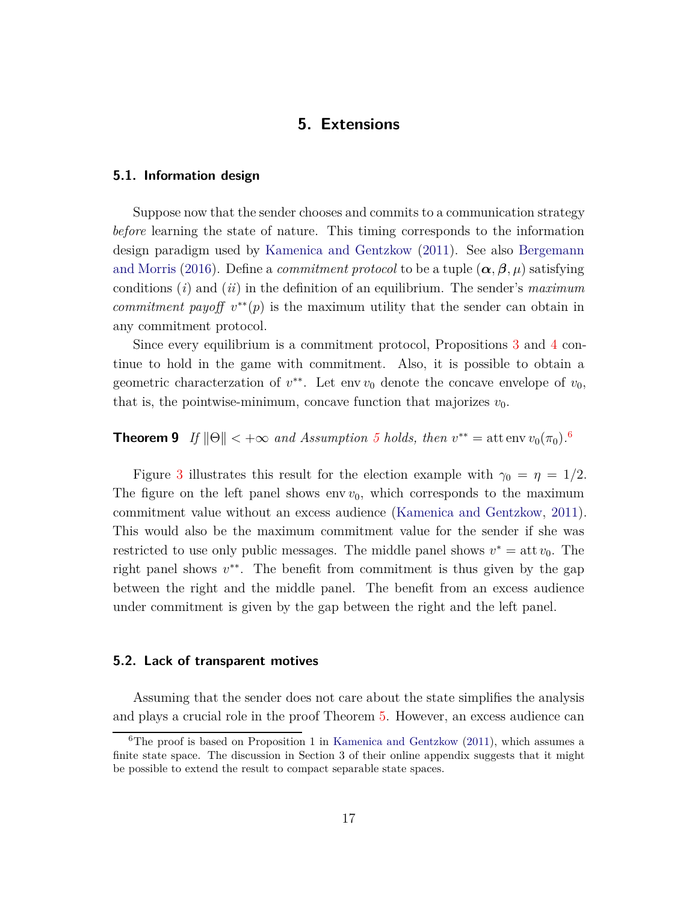# **5. Extensions**

## <span id="page-16-0"></span>**5.1. Information design**

Suppose now that the sender chooses and commits to a communication strategy *before* learning the state of nature. This timing corresponds to the information design paradigm used by [Kamenica and Gentzkow](#page-19-1) [\(2011](#page-19-1)). See also Bergemann and Morris [\(2016\)](#page-19-3). Define a *commitment protocol* to be a tuple  $(\alpha, \beta, \mu)$  satisfying conditions (*i*) and (*ii*) in the definition of an equilibrium. The sender's *maximum commitment payoff*  $v^{**}(p)$  is the maximum utility that the sender can obtain in any commitment protocol.

Since every equilibrium is a commitment protocol, Propositions [3](#page-10-1) and [4](#page-10-0) continue to hold in the game with commitment. Also, it is possible to obtain a geometric characterzation of  $v^*$ . Let env  $v_0$  denote the concave envelope of  $v_0$ , that is, the pointwise-minimum, concave function that majorizes  $v_0$ .

# <span id="page-16-2"></span>**Theorem 9** *If*  $\|\Theta\| < +\infty$  *and Assumption [5](#page-11-1) holds, then*  $v^{**} =$  att env  $v_0(\pi_0)$ .<sup>[6](#page-16-1)</sup>

Figure [3](#page-17-0) illustrates this result for the election example with  $\gamma_0 = \eta = 1/2$ . The figure on the left panel shows env  $v_0$ , which corresponds to the maximum commitment value without an excess audience [\(Kamenica and Gentzkow,](#page-19-1) [2011](#page-19-1)). This would also be the maximum commitment value for the sender if she was restricted to use only public messages. The middle panel shows  $v^* = \text{att } v_0$ . The right panel shows  $v^{**}$ . The benefit from commitment is thus given by the gap between the right and the middle panel. The benefit from an excess audience under commitment is given by the gap between the right and the left panel.

### **5.2. Lack of transparent motives**

Assuming that the sender does not care about the state simplifies the analysis and plays a crucial role in the proof Theorem [5.](#page-11-0) However, an excess audience can

<span id="page-16-1"></span><sup>&</sup>lt;sup>6</sup>The proof is based on Proposition 1 in [Kamenica and Gentzkow](#page-19-1)  $(2011)$ , which assumes a finite state space. The discussion in Section 3 of their online appendix suggests that it might be possible to extend the result to compact separable state spaces.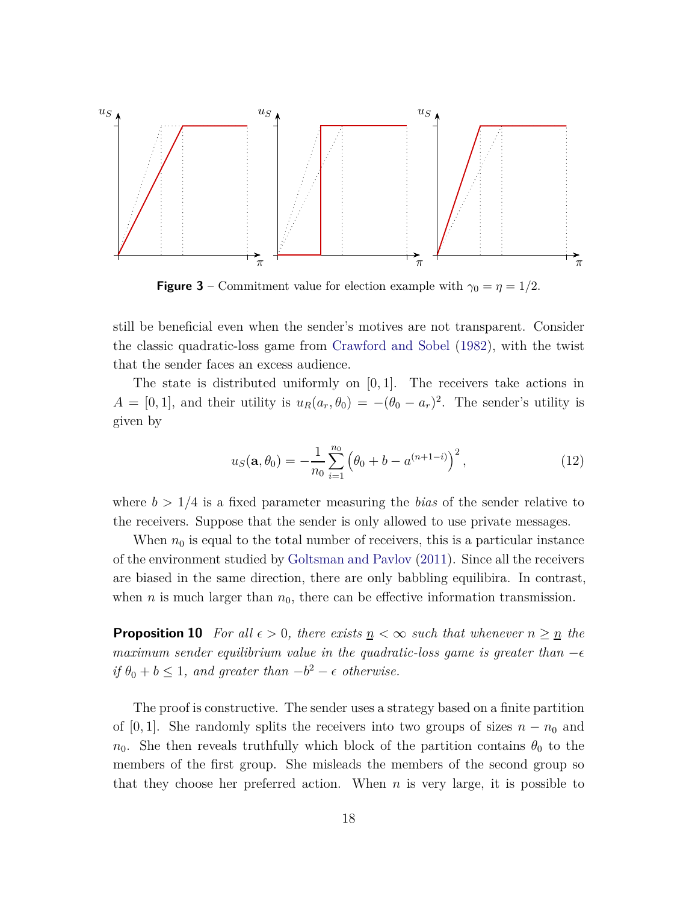<span id="page-17-0"></span>

**Figure 3** – Commitment value for election example with  $\gamma_0 = \eta = 1/2$ .

still be beneficial even when the sender's motives are not transparent. Consider the classic quadratic-loss game from [Crawford and Sobel](#page-19-0) [\(1982](#page-19-0)), with the twist that the sender faces an excess audience.

The state is distributed uniformly on [0*,* 1]. The receivers take actions in  $A = [0, 1]$ , and their utility is  $u_R(a_r, \theta_0) = -(\theta_0 - a_r)^2$ . The sender's utility is given by

$$
u_S(\mathbf{a}, \theta_0) = -\frac{1}{n_0} \sum_{i=1}^{n_0} \left( \theta_0 + b - a^{(n+1-i)} \right)^2, \tag{12}
$$

where  $b > 1/4$  is a fixed parameter measuring the *bias* of the sender relative to the receivers. Suppose that the sender is only allowed to use private messages.

When  $n_0$  is equal to the total number of receivers, this is a particular instance of the environment studied by [Goltsman and Pavlov](#page-19-8) [\(2011](#page-19-8)). Since all the receivers are biased in the same direction, there are only babbling equilibira. In contrast, when  $n$  is much larger than  $n_0$ , there can be effective information transmission.

<span id="page-17-1"></span>**Proposition 10** *For all*  $\epsilon > 0$ *, there exists*  $n < \infty$  *such that whenever*  $n \geq n$  *the maximum sender equilibrium value in the quadratic-loss game is greater than*  $-\epsilon$ *if*  $\theta_0 + b \leq 1$ *, and greater than*  $-b^2 - \epsilon$  *otherwise.* 

The proof is constructive. The sender uses a strategy based on a finite partition of [0, 1]. She randomly splits the receivers into two groups of sizes  $n - n_0$  and *n*<sub>0</sub>. She then reveals truthfully which block of the partition contains  $\theta_0$  to the members of the first group. She misleads the members of the second group so that they choose her preferred action. When *n* is very large, it is possible to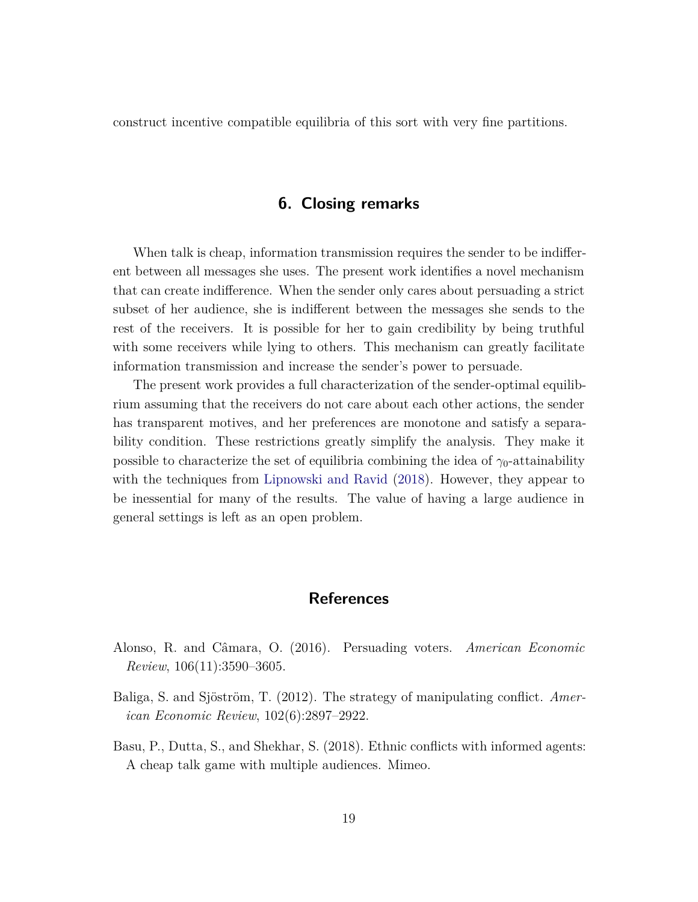construct incentive compatible equilibria of this sort with very fine partitions.

## **6. Closing remarks**

When talk is cheap, information transmission requires the sender to be indifferent between all messages she uses. The present work identifies a novel mechanism that can create indifference. When the sender only cares about persuading a strict subset of her audience, she is indifferent between the messages she sends to the rest of the receivers. It is possible for her to gain credibility by being truthful with some receivers while lying to others. This mechanism can greatly facilitate information transmission and increase the sender's power to persuade.

The present work provides a full characterization of the sender-optimal equilibrium assuming that the receivers do not care about each other actions, the sender has transparent motives, and her preferences are monotone and satisfy a separability condition. These restrictions greatly simplify the analysis. They make it possible to characterize the set of equilibria combining the idea of  $\gamma_0$ -attainability with the techniques from [Lipnowski and Ravid](#page-19-2) [\(2018\)](#page-19-2). However, they appear to be inessential for many of the results. The value of having a large audience in general settings is left as an open problem.

# **References**

- <span id="page-18-2"></span>Alonso, R. and Câmara, O. (2016). Persuading voters. *American Economic Review*, 106(11):3590–3605.
- <span id="page-18-0"></span>Baliga, S. and Sjöström, T. (2012). The strategy of manipulating conflict. *American Economic Review*, 102(6):2897–2922.
- <span id="page-18-1"></span>Basu, P., Dutta, S., and Shekhar, S. (2018). Ethnic conflicts with informed agents: A cheap talk game with multiple audiences. Mimeo.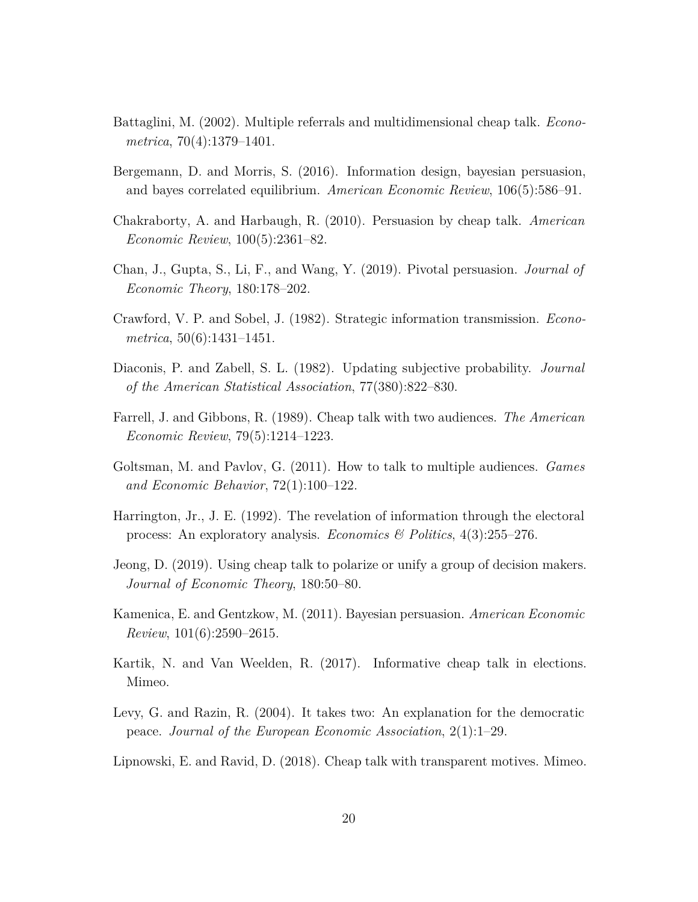- <span id="page-19-4"></span>Battaglini, M. (2002). Multiple referrals and multidimensional cheap talk. *Econometrica*, 70(4):1379–1401.
- <span id="page-19-3"></span>Bergemann, D. and Morris, S. (2016). Information design, bayesian persuasion, and bayes correlated equilibrium. *American Economic Review*, 106(5):586–91.
- <span id="page-19-5"></span>Chakraborty, A. and Harbaugh, R. (2010). Persuasion by cheap talk. *American Economic Review*, 100(5):2361–82.
- <span id="page-19-12"></span>Chan, J., Gupta, S., Li, F., and Wang, Y. (2019). Pivotal persuasion. *Journal of Economic Theory*, 180:178–202.
- <span id="page-19-0"></span>Crawford, V. P. and Sobel, J. (1982). Strategic information transmission. *Econometrica*, 50(6):1431–1451.
- <span id="page-19-13"></span>Diaconis, P. and Zabell, S. L. (1982). Updating subjective probability. *Journal of the American Statistical Association*, 77(380):822–830.
- <span id="page-19-7"></span>Farrell, J. and Gibbons, R. (1989). Cheap talk with two audiences. *The American Economic Review*, 79(5):1214–1223.
- <span id="page-19-8"></span>Goltsman, M. and Pavlov, G. (2011). How to talk to multiple audiences. *Games and Economic Behavior*, 72(1):100–122.
- <span id="page-19-9"></span>Harrington, Jr., J. E. (1992). The revelation of information through the electoral process: An exploratory analysis. *Economics & Politics*, 4(3):255–276.
- <span id="page-19-10"></span>Jeong, D. (2019). Using cheap talk to polarize or unify a group of decision makers. *Journal of Economic Theory*, 180:50–80.
- <span id="page-19-1"></span>Kamenica, E. and Gentzkow, M. (2011). Bayesian persuasion. *American Economic Review*, 101(6):2590–2615.
- <span id="page-19-11"></span>Kartik, N. and Van Weelden, R. (2017). Informative cheap talk in elections. Mimeo.
- <span id="page-19-6"></span>Levy, G. and Razin, R. (2004). It takes two: An explanation for the democratic peace. *Journal of the European Economic Association*, 2(1):1–29.
- <span id="page-19-2"></span>Lipnowski, E. and Ravid, D. (2018). Cheap talk with transparent motives. Mimeo.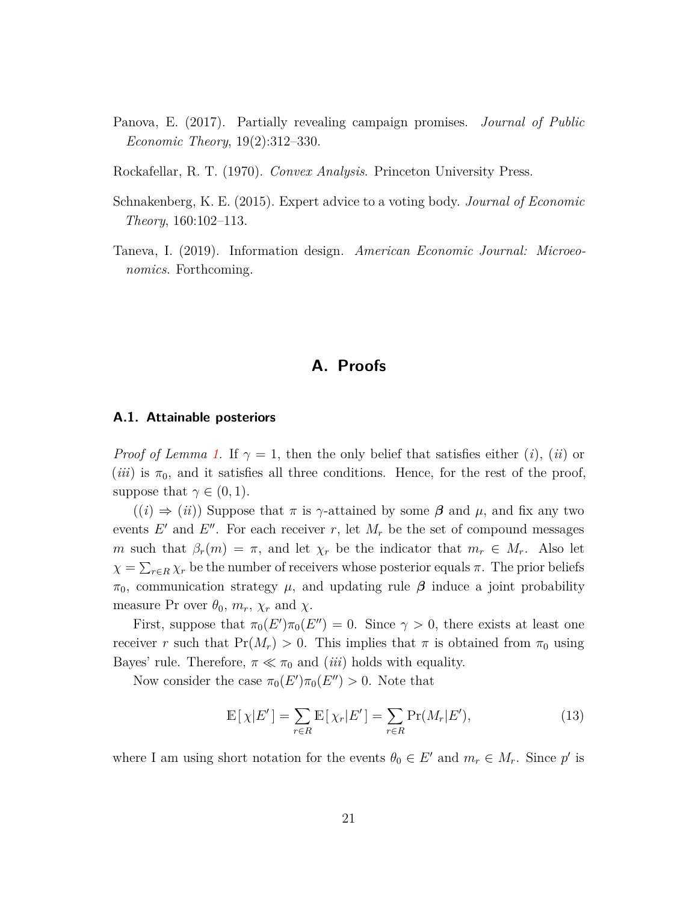- <span id="page-20-2"></span>Panova, E. (2017). Partially revealing campaign promises. *Journal of Public Economic Theory*, 19(2):312–330.
- <span id="page-20-3"></span>Rockafellar, R. T. (1970). *Convex Analysis*. Princeton University Press.
- <span id="page-20-1"></span>Schnakenberg, K. E. (2015). Expert advice to a voting body. *Journal of Economic Theory*, 160:102–113.
- <span id="page-20-0"></span>Taneva, I. (2019). Information design. *American Economic Journal: Microeonomics*. Forthcoming.

# **A. Proofs**

## **A.1. Attainable posteriors**

*Proof of Lemma [1.](#page-7-0)* If  $\gamma = 1$ , then the only belief that satisfies either (*i*), (*ii*) or  $(iii)$  is  $\pi_0$ , and it satisfies all three conditions. Hence, for the rest of the proof, suppose that  $\gamma \in (0,1)$ .

 $((i) \Rightarrow (ii))$  Suppose that  $\pi$  is  $\gamma$ -attained by some  $\beta$  and  $\mu$ , and fix any two events  $E'$  and  $E''$ . For each receiver  $r$ , let  $M_r$  be the set of compound messages *m* such that  $\beta_r(m) = \pi$ , and let  $\chi_r$  be the indicator that  $m_r \in M_r$ . Also let  $\chi = \sum_{r \in R} \chi_r$  be the number of receivers whose posterior equals  $\pi$ . The prior beliefs *π*<sub>0</sub>, communication strategy *μ*, and updating rule *β* induce a joint probability measure Pr over  $\theta_0$ ,  $m_r$ ,  $\chi_r$  and  $\chi$ .

First, suppose that  $\pi_0(E')\pi_0(E'')=0$ . Since  $\gamma>0$ , there exists at least one receiver *r* such that  $Pr(M_r) > 0$ . This implies that  $\pi$  is obtained from  $\pi_0$  using Bayes' rule. Therefore,  $\pi \ll \pi_0$  and *(iii)* holds with equality.

Now consider the case  $\pi_0(E')\pi_0(E'') > 0$ . Note that

<span id="page-20-4"></span>
$$
\mathbb{E}[\chi|E'] = \sum_{r \in R} \mathbb{E}[\chi_r|E'] = \sum_{r \in R} \Pr(M_r|E'),\tag{13}
$$

where I am using short notation for the events  $\theta_0 \in E'$  and  $m_r \in M_r$ . Since  $p'$  is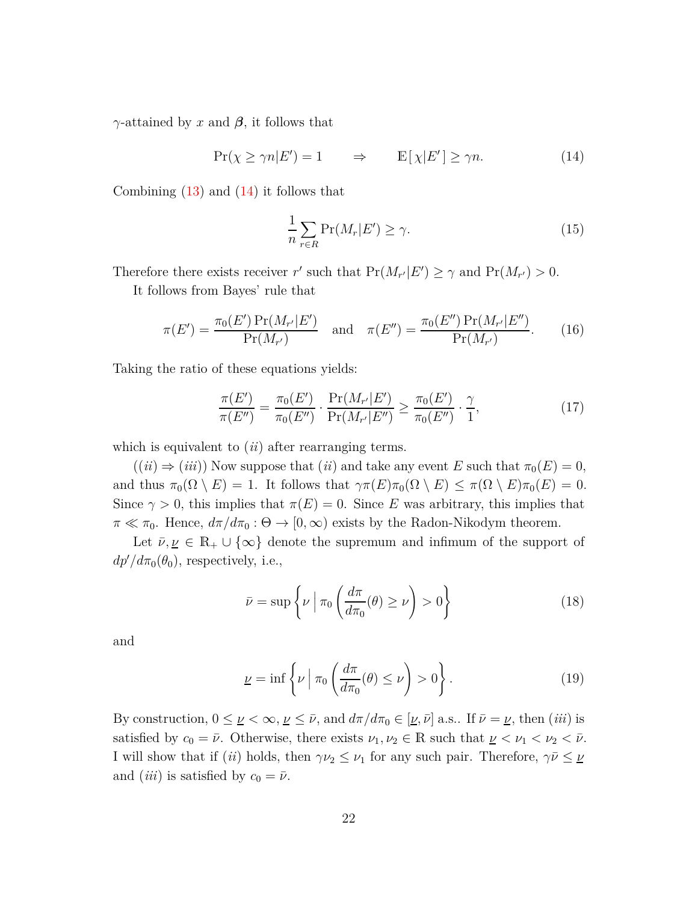*γ*-attained by *x* and *β*, it follows that

$$
\Pr(\chi \ge \gamma n | E') = 1 \qquad \Rightarrow \qquad \mathbb{E}[\chi | E'] \ge \gamma n. \tag{14}
$$

Combining  $(13)$  and  $(14)$  it follows that

<span id="page-21-0"></span>
$$
\frac{1}{n}\sum_{r\in R}\Pr(M_r|E') \ge \gamma.
$$
\n(15)

Therefore there exists receiver *r'* such that  $Pr(M_{r'}|E') \ge \gamma$  and  $Pr(M_{r'}) > 0$ .

It follows from Bayes' rule that

$$
\pi(E') = \frac{\pi_0(E') \Pr(M_{r'} | E')}{\Pr(M_{r'})} \quad \text{and} \quad \pi(E'') = \frac{\pi_0(E'') \Pr(M_{r'} | E'')}{\Pr(M_{r'})}.
$$
 (16)

Taking the ratio of these equations yields:

$$
\frac{\pi(E')}{\pi(E'')} = \frac{\pi_0(E')}{\pi_0(E'')} \cdot \frac{\Pr(M_{r'}|E')}{\Pr(M_{r'}|E'')} \ge \frac{\pi_0(E')}{\pi_0(E'')} \cdot \frac{\gamma}{1},\tag{17}
$$

which is equivalent to (*ii*) after rearranging terms.

 $((ii) \Rightarrow (iii))$  Now suppose that  $(ii)$  and take any event *E* such that  $\pi_0(E) = 0$ , and thus  $\pi_0(\Omega \setminus E) = 1$ . It follows that  $\gamma \pi(E) \pi_0(\Omega \setminus E) \leq \pi(\Omega \setminus E) \pi_0(E) = 0$ . Since  $\gamma > 0$ , this implies that  $\pi(E) = 0$ . Since *E* was arbitrary, this implies that  $\pi \ll \pi_0$ . Hence,  $d\pi/d\pi_0 : \Theta \to [0,\infty)$  exists by the Radon-Nikodym theorem.

Let  $\bar{\nu}, \nu \in \mathbb{R}_+ \cup \{\infty\}$  denote the supremum and infimum of the support of  $dp'/d\pi_0(\theta_0)$ , respectively, i.e.,

<span id="page-21-1"></span>
$$
\bar{\nu} = \sup \left\{ \nu \mid \pi_0 \left( \frac{d\pi}{d\pi_0}(\theta) \ge \nu \right) > 0 \right\} \tag{18}
$$

and

<span id="page-21-2"></span>
$$
\underline{\nu} = \inf \left\{ \nu \mid \pi_0 \left( \frac{d\pi}{d\pi_0}(\theta) \le \nu \right) > 0 \right\}.
$$
 (19)

By construction,  $0 \leq \nu < \infty$ ,  $\nu \leq \bar{\nu}$ , and  $d\pi/d\pi_0 \in [\nu, \bar{\nu}]$  a.s.. If  $\bar{\nu} = \nu$ , then (*iii*) is satisfied by  $c_0 = \bar{\nu}$ . Otherwise, there exists  $\nu_1, \nu_2 \in \mathbb{R}$  such that  $\nu \leq \nu_1 < \nu_2 < \bar{\nu}$ . I will show that if (*ii*) holds, then  $\gamma \nu_2 \leq \nu_1$  for any such pair. Therefore,  $\gamma \bar{\nu} \leq \nu_2$ and *(iii)* is satisfied by  $c_0 = \bar{\nu}$ .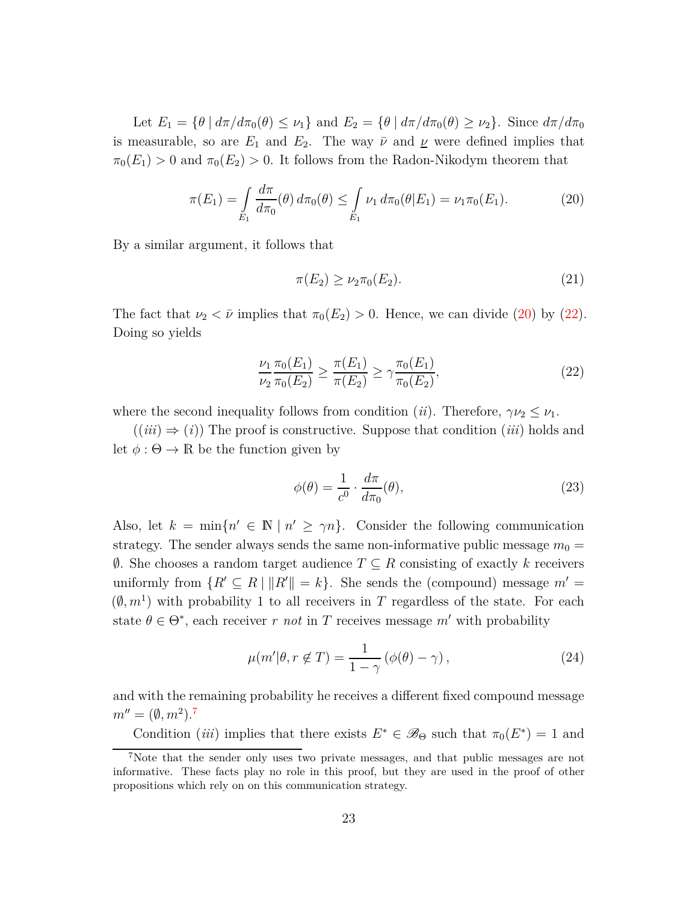Let  $E_1 = \{\theta \mid d\pi/d\pi_0(\theta) \leq \nu_1\}$  and  $E_2 = \{\theta \mid d\pi/d\pi_0(\theta) \geq \nu_2\}$ . Since  $d\pi/d\pi_0$ is measurable, so are  $E_1$  and  $E_2$ . The way  $\bar{\nu}$  and  $\underline{\nu}$  were defined implies that  $\pi_0(E_1) > 0$  and  $\pi_0(E_2) > 0$ . It follows from the Radon-Nikodym theorem that

$$
\pi(E_1) = \int\limits_{E_1} \frac{d\pi}{d\pi_0}(\theta) \, d\pi_0(\theta) \le \int\limits_{E_1} \nu_1 \, d\pi_0(\theta | E_1) = \nu_1 \pi_0(E_1). \tag{20}
$$

By a similar argument, it follows that

<span id="page-22-1"></span><span id="page-22-0"></span>
$$
\pi(E_2) \ge \nu_2 \pi_0(E_2). \tag{21}
$$

The fact that  $\nu_2 < \bar{\nu}$  implies that  $\pi_0(E_2) > 0$ . Hence, we can divide [\(20\)](#page-22-0) by [\(22\)](#page-22-1). Doing so yields

$$
\frac{\nu_1}{\nu_2} \frac{\pi_0(E_1)}{\pi_0(E_2)} \ge \frac{\pi(E_1)}{\pi(E_2)} \ge \gamma \frac{\pi_0(E_1)}{\pi_0(E_2)},
$$
\n(22)

where the second inequality follows from condition (*ii*). Therefore,  $\gamma \nu_2 \leq \nu_1$ .

 $((iii) \Rightarrow (i))$  The proof is constructive. Suppose that condition  $(iii)$  holds and let  $\phi : \Theta \to \mathbb{R}$  be the function given by

<span id="page-22-3"></span>
$$
\phi(\theta) = \frac{1}{c^0} \cdot \frac{d\pi}{d\pi_0}(\theta),\tag{23}
$$

Also, let  $k = \min\{n' \in \mathbb{N} \mid n' \ge \gamma n\}$ . Consider the following communication strategy. The sender always sends the same non-informative public message  $m_0 =$ ∅. She chooses a random target audience *T* ⊆ *R* consisting of exactly *k* receivers uniformly from  $\{R' \subseteq R \mid ||R'|| = k\}$ . She sends the (compound) message  $m' =$  $(\emptyset, m<sup>1</sup>)$  with probability 1 to all receivers in *T* regardless of the state. For each state  $\theta \in \Theta^*$ , each receiver *r not* in *T* receives message *m'* with probability

$$
\mu(m'|\theta, r \notin T) = \frac{1}{1 - \gamma} (\phi(\theta) - \gamma), \qquad (24)
$$

and with the remaining probability he receives a different fixed compound message  $m'' = (\emptyset, m^2).$ <sup>[7](#page-22-2)</sup>

Condition *(iii)* implies that there exists  $E^* \in \mathscr{B}_{\Theta}$  such that  $\pi_0(E^*) = 1$  and

<span id="page-22-2"></span><sup>7</sup>Note that the sender only uses two private messages, and that public messages are not informative. These facts play no role in this proof, but they are used in the proof of other propositions which rely on on this communication strategy.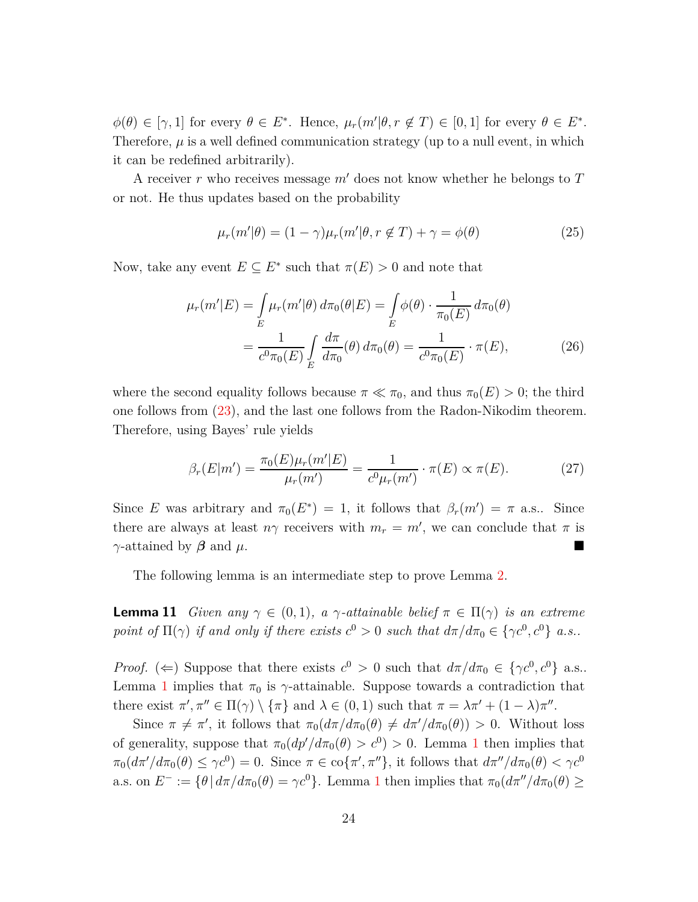$\phi(\theta) \in [\gamma, 1]$  for every  $\theta \in E^*$ . Hence,  $\mu_r(m'|\theta, r \notin T) \in [0, 1]$  for every  $\theta \in E^*$ . Therefore,  $\mu$  is a well defined communication strategy (up to a null event, in which it can be redefined arbitrarily).

A receiver *r* who receives message *m*′ does not know whether he belongs to *T* or not. He thus updates based on the probability

$$
\mu_r(m'|\theta) = (1 - \gamma)\mu_r(m'|\theta, r \notin T) + \gamma = \phi(\theta)
$$
\n(25)

Now, take any event  $E \subseteq E^*$  such that  $\pi(E) > 0$  and note that

$$
\mu_r(m'|E) = \int_E \mu_r(m'|\theta) d\pi_0(\theta|E) = \int_E \phi(\theta) \cdot \frac{1}{\pi_0(E)} d\pi_0(\theta)
$$

$$
= \frac{1}{c^0 \pi_0(E)} \int_E \frac{d\pi}{d\pi_0}(\theta) d\pi_0(\theta) = \frac{1}{c^0 \pi_0(E)} \cdot \pi(E), \tag{26}
$$

where the second equality follows because  $\pi \ll \pi_0$ , and thus  $\pi_0(E) > 0$ ; the third one follows from [\(23\)](#page-22-3), and the last one follows from the Radon-Nikodim theorem. Therefore, using Bayes' rule yields

$$
\beta_r(E|m') = \frac{\pi_0(E)\mu_r(m'|E)}{\mu_r(m')} = \frac{1}{c^0\mu_r(m')} \cdot \pi(E) \propto \pi(E). \tag{27}
$$

Since *E* was arbitrary and  $\pi_0(E^*) = 1$ , it follows that  $\beta_r(m') = \pi$  a.s.. Since there are always at least  $n\gamma$  receivers with  $m_r = m'$ , we can conclude that  $\pi$  is *γ*-attained by  $\beta$  and  $\mu$ .

The following lemma is an intermediate step to prove Lemma [2.](#page-8-0)

<span id="page-23-0"></span>**Lemma 11** *Given any*  $\gamma \in (0,1)$ *, a*  $\gamma$ *-attainable belief*  $\pi \in \Pi(\gamma)$  *is an extreme point of*  $\Pi(\gamma)$  *if and only if there exists*  $c^0 > 0$  *such that*  $d\pi/d\pi_0 \in {\gamma c^0, c^0}$  *a.s..* 

*Proof.* ( $\Leftarrow$ ) Suppose that there exists  $c^0 > 0$  such that  $d\pi/d\pi_0 \in {\gamma c^0, c^0}$  a.s.. Lemma [1](#page-7-0) implies that  $\pi_0$  is  $\gamma$ -attainable. Suppose towards a contradiction that there exist  $\pi', \pi'' \in \Pi(\gamma) \setminus {\{\pi\}}$  and  $\lambda \in (0, 1)$  such that  $\pi = \lambda \pi' + (1 - \lambda)\pi''$ .

Since  $\pi \neq \pi'$ , it follows that  $\pi_0(d\pi/d\pi_0(\theta) \neq d\pi'/d\pi_0(\theta)) > 0$ . Without loss of generality, suppose that  $\pi_0(dp'/d\pi_0(\theta) > c^0) > 0$ . Lemma [1](#page-7-0) then implies that  $\pi_0(d\pi'/d\pi_0(\theta) \leq \gamma c^0) = 0$ . Since  $\pi \in \text{co}\{\pi', \pi''\}$ , it follows that  $d\pi''/d\pi_0(\theta) < \gamma c^0$ a.s. on  $E^- := \{\theta | d\pi/d\pi_0(\theta) = \gamma c^0\}$ . Lemma [1](#page-7-0) then implies that  $\pi_0(d\pi''/d\pi_0(\theta) \ge$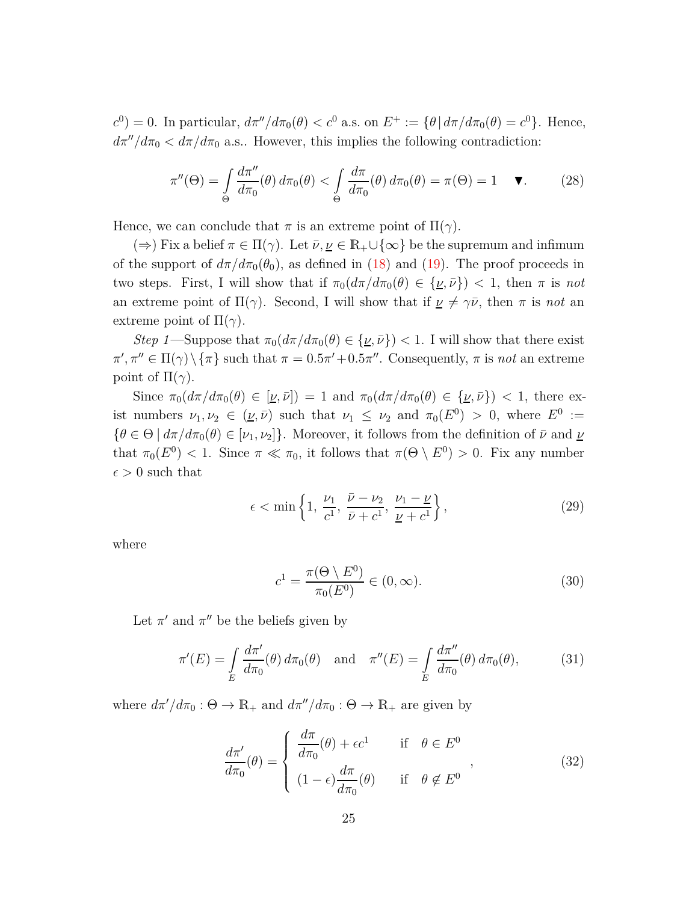*c*<sup>0</sup>) = 0. In particular,  $dπ''/dπ₀(θ) < c<sup>0</sup>$  a.s. on  $E<sup>+</sup> := {θ | dπ/ dπ₀(θ) = c<sup>0</sup>}.$  Hence,  $d\pi''/d\pi_0 < d\pi/d\pi_0$  a.s.. However, this implies the following contradiction:

$$
\pi''(\Theta) = \int_{\Theta} \frac{d\pi''}{d\pi_0}(\theta) d\pi_0(\theta) < \int_{\Theta} \frac{d\pi}{d\pi_0}(\theta) d\pi_0(\theta) = \pi(\Theta) = 1 \quad \blacktriangledown. \tag{28}
$$

Hence, we can conclude that  $\pi$  is an extreme point of  $\Pi(\gamma)$ .

 $(\Rightarrow)$  Fix a belief  $\pi \in \Pi(\gamma)$ . Let  $\bar{\nu}, \underline{\nu} \in \mathbb{R}_+ \cup \{\infty\}$  be the supremum and infimum of the support of  $d\pi/d\pi_0(\theta_0)$ , as defined in [\(18\)](#page-21-1) and [\(19\)](#page-21-2). The proof proceeds in two steps. First, I will show that if  $\pi_0(d\pi/d\pi_0(\theta) \in {\{\nu,\bar{\nu}\}}$  < 1, then  $\pi$  is not an extreme point of  $\Pi(\gamma)$ . Second, I will show that if  $\nu \neq \gamma \bar{\nu}$ , then  $\pi$  is *not* an extreme point of  $\Pi(\gamma)$ .

*Step 1*—Suppose that  $\pi_0(d\pi/d\pi_0(\theta) \in {\{\nu,\bar{\nu}\}}$  < 1. I will show that there exist  $\pi', \pi'' \in \Pi(\gamma) \setminus {\pi}$  such that  $\pi = 0.5\pi' + 0.5\pi''$ . Consequently,  $\pi$  is *not* an extreme point of  $\Pi(\gamma)$ .

Since  $\pi_0(d\pi/d\pi_0(\theta) \in [\underline{\nu}, \overline{\nu}]) = 1$  and  $\pi_0(d\pi/d\pi_0(\theta) \in {\underline{\nu}, \overline{\nu}} > 1$ , there exist numbers  $\nu_1, \nu_2 \in (\underline{\nu}, \overline{\nu})$  such that  $\nu_1 \leq \nu_2$  and  $\pi_0(E^0) > 0$ , where  $E^0 :=$  ${\theta \in \Theta \mid d\pi/d\pi_0(\theta) \in [\nu_1, \nu_2]}$ . Moreover, it follows from the definition of  $\bar{\nu}$  and  $\underline{\nu}$ that  $\pi_0(E^0) < 1$ . Since  $\pi \ll \pi_0$ , it follows that  $\pi(\Theta \setminus E^0) > 0$ . Fix any number  $\epsilon > 0$  such that

$$
\epsilon < \min\left\{1, \frac{\nu_1}{c^1}, \frac{\bar{\nu} - \nu_2}{\bar{\nu} + c^1}, \frac{\nu_1 - \underline{\nu}}{\underline{\nu} + c^1}\right\},\tag{29}
$$

where

<span id="page-24-1"></span><span id="page-24-0"></span>
$$
c^{1} = \frac{\pi(\Theta \setminus E^{0})}{\pi_{0}(E^{0})} \in (0, \infty).
$$
\n(30)

Let  $\pi'$  and  $\pi''$  be the beliefs given by

$$
\pi'(E) = \int\limits_E \frac{d\pi'}{d\pi_0}(\theta) d\pi_0(\theta) \quad \text{and} \quad \pi''(E) = \int\limits_E \frac{d\pi''}{d\pi_0}(\theta) d\pi_0(\theta), \tag{31}
$$

where  $d\pi'/d\pi_0$ :  $\Theta \to \mathbb{R}_+$  and  $d\pi''/d\pi_0$ :  $\Theta \to \mathbb{R}_+$  are given by

$$
\frac{d\pi'}{d\pi_0}(\theta) = \begin{cases} \frac{d\pi}{d\pi_0}(\theta) + \epsilon c^1 & \text{if } \theta \in E^0\\ (1 - \epsilon)\frac{d\pi}{d\pi_0}(\theta) & \text{if } \theta \notin E^0 \end{cases},
$$
(32)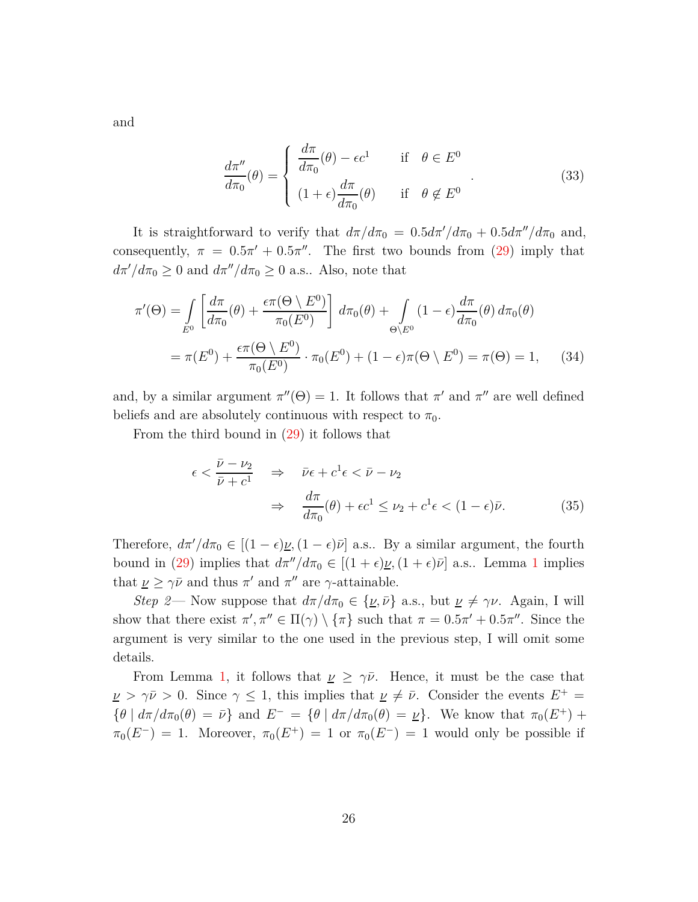and

$$
\frac{d\pi''}{d\pi_0}(\theta) = \begin{cases} \frac{d\pi}{d\pi_0}(\theta) - \epsilon c^1 & \text{if } \theta \in E^0 \\ (1 + \epsilon) \frac{d\pi}{d\pi_0}(\theta) & \text{if } \theta \notin E^0 \end{cases} \tag{33}
$$

It is straightforward to verify that  $d\pi/d\pi_0 = 0.5d\pi'/d\pi_0 + 0.5d\pi''/d\pi_0$  and, consequently,  $\pi = 0.5\pi' + 0.5\pi''$ . The first two bounds from [\(29\)](#page-24-0) imply that  $d\pi'/d\pi_0 \geq 0$  and  $d\pi''/d\pi_0 \geq 0$  a.s.. Also, note that

$$
\pi'(\Theta) = \int_{E^0} \left[ \frac{d\pi}{d\pi_0}(\theta) + \frac{\epsilon \pi(\Theta \setminus E^0)}{\pi_0(E^0)} \right] d\pi_0(\theta) + \int_{\Theta \setminus E^0} (1 - \epsilon) \frac{d\pi}{d\pi_0}(\theta) d\pi_0(\theta)
$$

$$
= \pi(E^0) + \frac{\epsilon \pi(\Theta \setminus E^0)}{\pi_0(E^0)} \cdot \pi_0(E^0) + (1 - \epsilon) \pi(\Theta \setminus E^0) = \pi(\Theta) = 1, \quad (34)
$$

and, by a similar argument  $\pi''(\Theta) = 1$ . It follows that  $\pi'$  and  $\pi''$  are well defined beliefs and are absolutely continuous with respect to  $\pi_0$ .

From the third bound in [\(29\)](#page-24-0) it follows that

$$
\epsilon < \frac{\bar{\nu} - \nu_2}{\bar{\nu} + c^1} \quad \Rightarrow \quad \bar{\nu}\epsilon + c^1 \epsilon < \bar{\nu} - \nu_2
$$
\n
$$
\Rightarrow \quad \frac{d\pi}{d\pi_0}(\theta) + \epsilon c^1 \le \nu_2 + c^1 \epsilon < (1 - \epsilon)\bar{\nu}. \tag{35}
$$

Therefore,  $d\pi'/d\pi_0 \in [(1-\epsilon)\underline{\nu},(1-\epsilon)\overline{\nu}]$  a.s.. By a similar argument, the fourth bound in [\(29\)](#page-24-0) implies that  $d\pi''/d\pi_0 \in [(1+\epsilon)\nu, (1+\epsilon)\bar{\nu}]$  $d\pi''/d\pi_0 \in [(1+\epsilon)\nu, (1+\epsilon)\bar{\nu}]$  $d\pi''/d\pi_0 \in [(1+\epsilon)\nu, (1+\epsilon)\bar{\nu}]$  a.s.. Lemma 1 implies that  $\nu \geq \gamma \bar{\nu}$  and thus  $\pi'$  and  $\pi''$  are  $\gamma$ -attainable.

*Step 2*— Now suppose that  $d\pi/d\pi_0 \in {\{\nu,\bar{\nu}\}}$  a.s., but  $\nu \neq \gamma\nu$ . Again, I will show that there exist  $\pi', \pi'' \in \Pi(\gamma) \setminus {\{\pi\}}$  such that  $\pi = 0.5\pi' + 0.5\pi''$ . Since the argument is very similar to the one used in the previous step, I will omit some details.

From Lemma [1,](#page-7-0) it follows that  $\nu \geq \gamma \bar{\nu}$ . Hence, it must be the case that  $\nu > \gamma \bar{\nu} > 0$ . Since  $\gamma \leq 1$ , this implies that  $\nu \neq \bar{\nu}$ . Consider the events  $E^+$  ${\theta \mid d\pi/d\pi_0(\theta) = \bar{\nu}}$  and  $E^- = {\theta \mid d\pi/d\pi_0(\theta) = \nu}.$  We know that  $\pi_0(E^+)$  +  $\pi_0(E^-) = 1$ . Moreover,  $\pi_0(E^+) = 1$  or  $\pi_0(E^-) = 1$  would only be possible if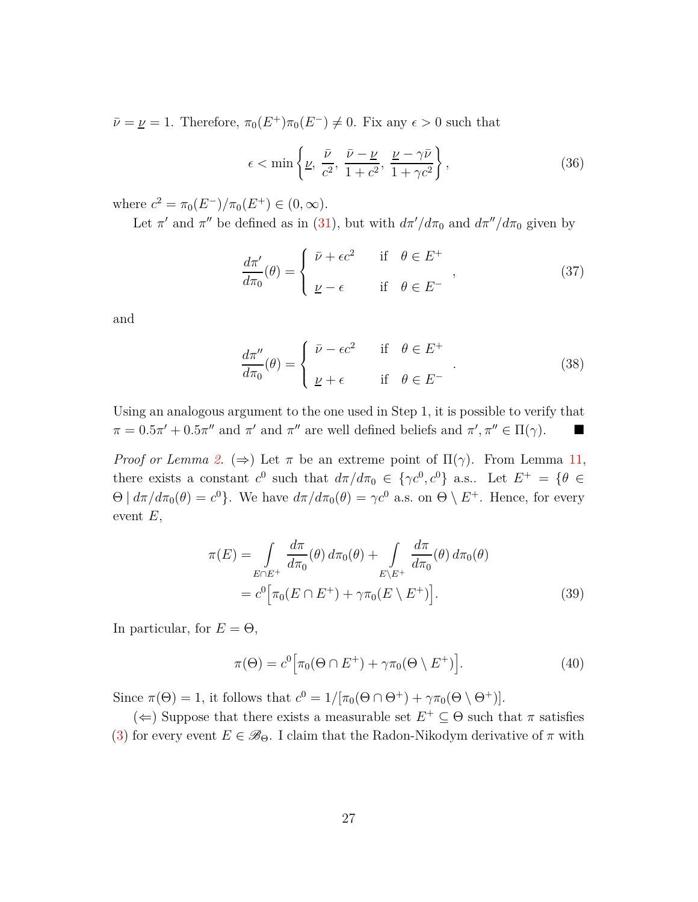$\bar{\nu} = \nu = 1$ . Therefore,  $\pi_0(E^+) \pi_0(E^-) \neq 0$ . Fix any  $\epsilon > 0$  such that

$$
\epsilon < \min\left\{\underline{\nu}, \frac{\bar{\nu}}{c^2}, \frac{\bar{\nu} - \underline{\nu}}{1 + c^2}, \frac{\underline{\nu} - \gamma \bar{\nu}}{1 + \gamma c^2}\right\},\tag{36}
$$

where  $c^2 = \pi_0(E^-)/\pi_0(E^+) \in (0, \infty)$ .

Let  $\pi'$  and  $\pi''$  be defined as in [\(31\)](#page-24-1), but with  $d\pi'/d\pi_0$  and  $d\pi''/d\pi_0$  given by

$$
\frac{d\pi'}{d\pi_0}(\theta) = \begin{cases} \bar{\nu} + \epsilon c^2 & \text{if } \theta \in E^+ \\ \nu - \epsilon & \text{if } \theta \in E^- \end{cases}
$$
\n(37)

and

$$
\frac{d\pi''}{d\pi_0}(\theta) = \begin{cases} \bar{\nu} - \epsilon c^2 & \text{if } \theta \in E^+ \\ \nu + \epsilon & \text{if } \theta \in E^- \end{cases} \tag{38}
$$

Using an analogous argument to the one used in Step 1, it is possible to verify that  $\pi = 0.5\pi' + 0.5\pi''$  and  $\pi'$  and  $\pi''$  are well defined beliefs and  $\pi', \pi'' \in \Pi(\gamma)$ .

*Proof or Lemma [2.](#page-8-0)* ( $\Rightarrow$ ) Let  $\pi$  be an extreme point of  $\Pi(\gamma)$ . From Lemma [11,](#page-23-0) there exists a constant  $c^0$  such that  $d\pi/d\pi_0 \in {\gamma c^0, c^0}$  a.s.. Let  $E^+ = {\theta \in \mathbb{R}^+}$  $\Theta \mid d\pi/d\pi_0(\theta) = c^0$ . We have  $d\pi/d\pi_0(\theta) = \gamma c^0$  a.s. on  $\Theta \setminus E^+$ . Hence, for every event *E*,

$$
\pi(E) = \int_{E \cap E^+} \frac{d\pi}{d\pi_0}(\theta) d\pi_0(\theta) + \int_{E \backslash E^+} \frac{d\pi}{d\pi_0}(\theta) d\pi_0(\theta)
$$

$$
= c^0 \Big[ \pi_0(E \cap E^+) + \gamma \pi_0(E \setminus E^+) \Big]. \tag{39}
$$

In particular, for  $E = \Theta$ ,

$$
\pi(\Theta) = c^0 \Big[ \pi_0(\Theta \cap E^+) + \gamma \pi_0(\Theta \setminus E^+) \Big]. \tag{40}
$$

Since  $\pi(\Theta) = 1$ , it follows that  $c^0 = 1/[\pi_0(\Theta \cap \Theta^+) + \gamma \pi_0(\Theta \setminus \Theta^+)]$ .

(←) Suppose that there exists a measurable set  $E^+$  ⊆  $Θ$  such that  $π$  satisfies [\(3\)](#page-8-1) for every event  $E \in \mathscr{B}_{\Theta}$ . I claim that the Radon-Nikodym derivative of  $\pi$  with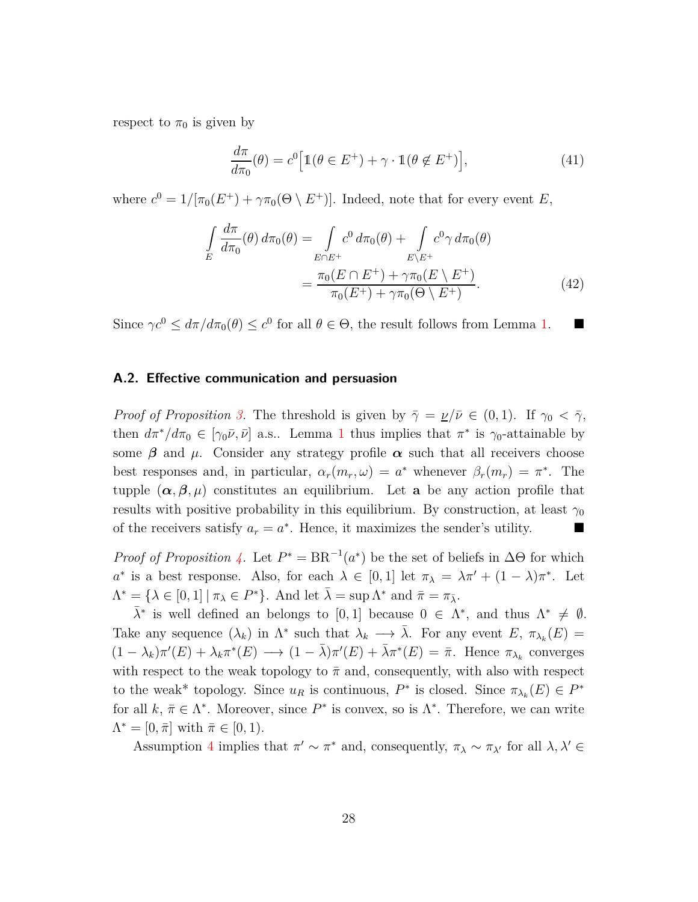respect to  $\pi_0$  is given by

$$
\frac{d\pi}{d\pi_0}(\theta) = c^0 \Big[ \mathbb{1}(\theta \in E^+) + \gamma \cdot \mathbb{1}(\theta \notin E^+) \Big],\tag{41}
$$

where  $c^0 = 1/[\pi_0(E^+) + \gamma \pi_0(\Theta \setminus E^+)]$ . Indeed, note that for every event *E*,

$$
\int_{E} \frac{d\pi}{d\pi_{0}}(\theta) d\pi_{0}(\theta) = \int_{E \cap E^{+}} c^{0} d\pi_{0}(\theta) + \int_{E \backslash E^{+}} c^{0} \gamma d\pi_{0}(\theta)
$$
\n
$$
= \frac{\pi_{0}(E \cap E^{+}) + \gamma \pi_{0}(E \backslash E^{+})}{\pi_{0}(E^{+}) + \gamma \pi_{0}(\Theta \backslash E^{+})}.
$$
\n(42)

Since  $\gamma c^0 \leq d\pi/d\pi_0(\theta) \leq c^0$  for all  $\theta \in \Theta$ , the result follows from Lemma [1.](#page-7-0)

## **A.2. Effective communication and persuasion**

*Proof of Proposition* [3.](#page-10-1) The threshold is given by  $\overline{\gamma} = \nu/\overline{\nu} \in (0,1)$ . If  $\gamma_0 < \overline{\gamma}$ , then  $d\pi^*/d\pi_0 \in [\gamma_0\bar{\nu}, \bar{\nu}]$  a.s.. Lemma [1](#page-7-0) thus implies that  $\pi^*$  is  $\gamma_0$ -attainable by some  $\beta$  and  $\mu$ . Consider any strategy profile  $\alpha$  such that all receivers choose best responses and, in particular,  $\alpha_r(m_r, \omega) = a^*$  whenever  $\beta_r(m_r) = \pi^*$ . The tupple  $(\alpha, \beta, \mu)$  constitutes an equilibrium. Let **a** be any action profile that results with positive probability in this equilibrium. By construction, at least  $\gamma_0$ of the receivers satisfy  $a_r = a^*$ . Hence, it maximizes the sender's utility.

*Proof of Proposition* [4.](#page-10-0) Let  $P^* = BR^{-1}(a^*)$  be the set of beliefs in  $\Delta\Theta$  for which *a*<sup>\*</sup> is a best response. Also, for each  $\lambda \in [0,1]$  let  $\pi_{\lambda} = \lambda \pi' + (1 - \lambda) \pi^*$ . Let  $\Lambda^* = {\lambda \in [0,1] | \pi_{\lambda} \in P^*}.$  And let  $\bar{\lambda} = \sup \Lambda^*$  and  $\bar{\pi} = \pi_{\bar{\lambda}}.$ 

 $\bar{\lambda}^*$  is well defined an belongs to [0, 1] because  $0 \in \Lambda^*$ , and thus  $\Lambda^* \neq \emptyset$ . Take any sequence  $(\lambda_k)$  in  $\Lambda^*$  such that  $\lambda_k \longrightarrow \overline{\lambda}$ . For any event  $E, \pi_{\lambda_k}(E) =$  $(1 - \lambda_k)\pi'(E) + \lambda_k \pi^*(E) \longrightarrow (1 - \bar{\lambda})\pi'(E) + \bar{\lambda}\pi^*(E) = \bar{\pi}$ . Hence  $\pi_{\lambda_k}$  converges with respect to the weak topology to  $\bar{\pi}$  and, consequently, with also with respect to the weak<sup>\*</sup> topology. Since  $u_R$  is continuous,  $P^*$  is closed. Since  $\pi_{\lambda_k}(E) \in P^*$ for all  $k, \bar{\pi} \in \Lambda^*$ . Moreover, since  $P^*$  is convex, so is  $\Lambda^*$ . Therefore, we can write  $\Lambda^* = [0, \bar{\pi}]$  with  $\bar{\pi} \in [0, 1)$ .

Assumption [4](#page-10-5) implies that  $\pi' \sim \pi^*$  and, consequently,  $\pi_\lambda \sim \pi_{\lambda'}$  for all  $\lambda, \lambda' \in$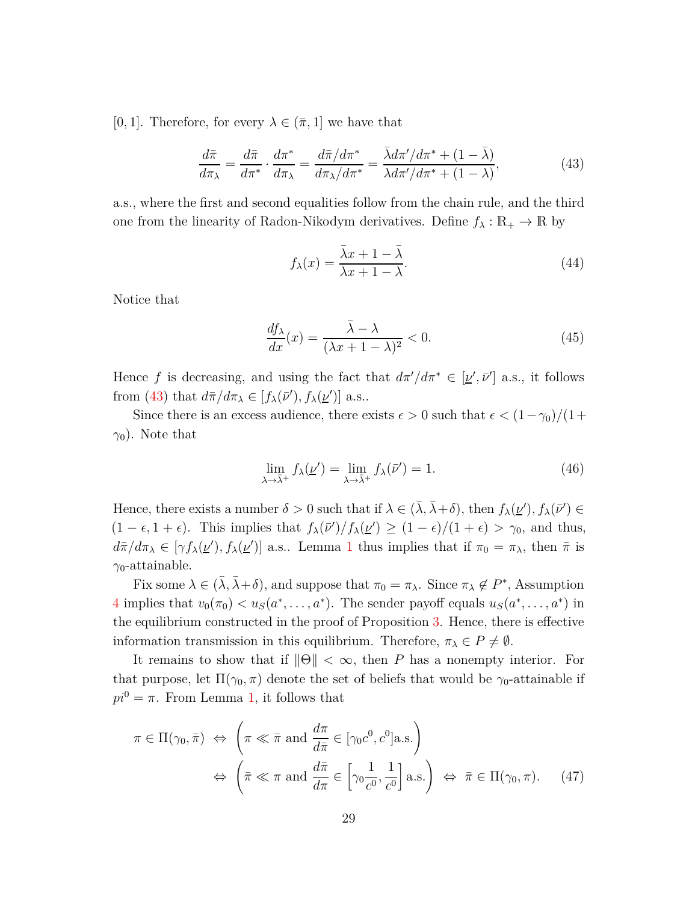[0, 1]. Therefore, for every  $\lambda \in (\bar{\pi}, 1]$  we have that

$$
\frac{d\bar{\pi}}{d\pi_{\lambda}} = \frac{d\bar{\pi}}{d\pi^*} \cdot \frac{d\pi^*}{d\pi_{\lambda}} = \frac{d\bar{\pi}/d\pi^*}{d\pi_{\lambda}/d\pi^*} = \frac{\bar{\lambda}d\pi'/d\pi^* + (1 - \bar{\lambda})}{\lambda d\pi'/d\pi^* + (1 - \lambda)},\tag{43}
$$

a.s., where the first and second equalities follow from the chain rule, and the third one from the linearity of Radon-Nikodym derivatives. Define  $f_{\lambda}: \mathbb{R}_+ \to \mathbb{R}$  by

<span id="page-28-0"></span>
$$
f_{\lambda}(x) = \frac{\bar{\lambda}x + 1 - \bar{\lambda}}{\lambda x + 1 - \lambda}.
$$
 (44)

Notice that

$$
\frac{df_{\lambda}}{dx}(x) = \frac{\bar{\lambda} - \lambda}{(\lambda x + 1 - \lambda)^2} < 0. \tag{45}
$$

Hence *f* is decreasing, and using the fact that  $d\pi'/d\pi^* \in [\underline{\nu}', \overline{\nu}']$  a.s., it follows from [\(43\)](#page-28-0) that  $d\bar{\pi}/d\pi_{\lambda} \in [f_{\lambda}(\bar{\nu}'), f_{\lambda}(\underline{\nu}')]$  a.s..

Since there is an excess audience, there exists  $\epsilon > 0$  such that  $\epsilon < (1 - \gamma_0)/(1 + \epsilon)$  $\gamma_0$ ). Note that

$$
\lim_{\lambda \to \bar{\lambda}^+} f_{\lambda}(\underline{\nu}') = \lim_{\lambda \to \bar{\lambda}^+} f_{\lambda}(\bar{\nu}') = 1.
$$
\n(46)

Hence, there exists a number  $\delta > 0$  such that if  $\lambda \in (\bar{\lambda}, \bar{\lambda} + \delta)$ , then  $f_{\lambda}(\underline{\nu}')$ ,  $f_{\lambda}(\bar{\nu}') \in$  $(1 - \epsilon, 1 + \epsilon)$ . This implies that  $f_{\lambda}(\bar{\nu}')/f_{\lambda}(\underline{\nu}') \ge (1 - \epsilon)/(1 + \epsilon) > \gamma_0$ , and thus,  $d\bar{\pi}/d\pi_{\lambda} \in [\gamma f_{\lambda}(\underline{\nu}'), f_{\lambda}(\underline{\nu}')]$  a.s.. Lemma [1](#page-7-0) thus implies that if  $\pi_0 = \pi_{\lambda}$ , then  $\bar{\pi}$  is *γ*0-attainable.

Fix some  $\lambda \in (\bar{\lambda}, \bar{\lambda} + \delta)$ , and suppose that  $\pi_0 = \pi_\lambda$ . Since  $\pi_\lambda \notin P^*$ , Assumption [4](#page-10-5) implies that  $v_0(\pi_0) < u_S(a^*, \dots, a^*)$ . The sender payoff equals  $u_S(a^*, \dots, a^*)$  in the equilibrium constructed in the proof of Proposition [3.](#page-10-1) Hence, there is effective information transmission in this equilibrium. Therefore,  $\pi_{\lambda} \in P \neq \emptyset$ .

It remains to show that if  $\|\Theta\| < \infty$ , then *P* has a nonempty interior. For that purpose, let  $\Pi(\gamma_0, \pi)$  denote the set of beliefs that would be  $\gamma_0$ -attainable if  $pi^0 = \pi$ . From Lemma [1,](#page-7-0) it follows that

$$
\pi \in \Pi(\gamma_0, \bar{\pi}) \iff \left(\pi \ll \bar{\pi} \text{ and } \frac{d\pi}{d\bar{\pi}} \in [\gamma_0 c^0, c^0] \text{a.s.}\right)
$$

$$
\iff \left(\bar{\pi} \ll \pi \text{ and } \frac{d\bar{\pi}}{d\pi} \in \left[\gamma_0 \frac{1}{c^0}, \frac{1}{c^0}\right] \text{a.s.}\right) \iff \bar{\pi} \in \Pi(\gamma_0, \pi). \tag{47}
$$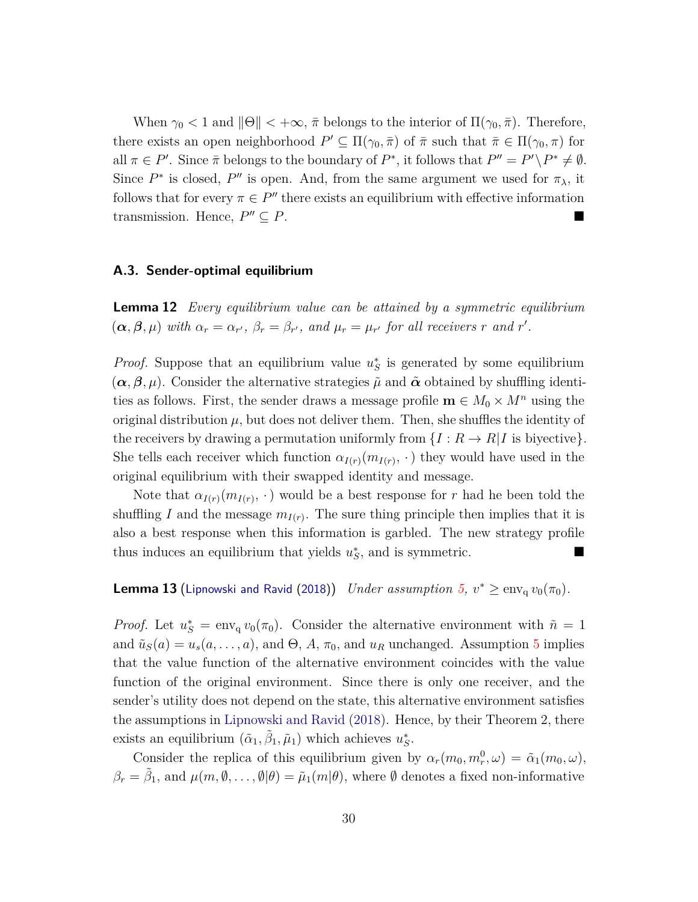When  $\gamma_0 < 1$  and  $\|\Theta\| < +\infty$ ,  $\bar{\pi}$  belongs to the interior of  $\Pi(\gamma_0, \bar{\pi})$ . Therefore, there exists an open neighborhood  $P' \subseteq \Pi(\gamma_0, \bar{\pi})$  of  $\bar{\pi}$  such that  $\bar{\pi} \in \Pi(\gamma_0, \pi)$  for all  $\pi \in P'$ . Since  $\bar{\pi}$  belongs to the boundary of  $P^*$ , it follows that  $P'' = P' \setminus P^* \neq \emptyset$ . Since  $P^*$  is closed,  $P''$  is open. And, from the same argument we used for  $\pi_\lambda$ , it follows that for every  $\pi \in P''$  there exists an equilibrium with effective information transmission. Hence,  $P'' \subseteq P$ .  $\prime\prime \subseteq P$ .

## **A.3. Sender-optimal equilibrium**

<span id="page-29-0"></span>**Lemma 12** *Every equilibrium value can be attained by a symmetric equilibrium*  $(\boldsymbol{\alpha}, \boldsymbol{\beta}, \mu)$  with  $\alpha_r = \alpha_{r'}$ ,  $\beta_r = \beta_{r'}$ , and  $\mu_r = \mu_{r'}$  for all receivers r and r'.

*Proof.* Suppose that an equilibrium value  $u_S^*$  is generated by some equilibrium  $(\alpha, \beta, \mu)$ . Consider the alternative strategies  $\tilde{\mu}$  and  $\tilde{\alpha}$  obtained by shuffling identities as follows. First, the sender draws a message profile  $\mathbf{m} \in M_0 \times M^n$  using the original distribution  $\mu$ , but does not deliver them. Then, she shuffles the identity of the receivers by drawing a permutation uniformly from  $\{I: R \to R | I$  is biyective}. She tells each receiver which function  $\alpha_{I(r)}(m_{I(r)}, \cdot)$  they would have used in the original equilibrium with their swapped identity and message.

Note that  $\alpha_{I(r)}(m_{I(r)}, \cdot)$  would be a best response for *r* had he been told the shuffling *I* and the message  $m_{I(r)}$ . The sure thing principle then implies that it is also a best response when this information is garbled. The new strategy profile thus induces an equilibrium that yields  $u_S^*$ , and is symmetric.

<span id="page-29-1"></span>**Lemma 13** ([Lipnowski and Ravid](#page-19-2) [\(2018](#page-19-2))) *Under assumption*  $5$ ,  $v^* \ge \text{env}_q v_0(\pi_0)$ .

*Proof.* Let  $u_S^* = \text{env}_{q} v_0(\pi_0)$ . Consider the alternative environment with  $\tilde{n} = 1$ and  $\tilde{u}_S(a) = u_s(a, \ldots, a)$ , and  $\Theta$ , *A*,  $\pi_0$ , and  $u_R$  unchanged. Assumption [5](#page-11-1) implies that the value function of the alternative environment coincides with the value function of the original environment. Since there is only one receiver, and the sender's utility does not depend on the state, this alternative environment satisfies the assumptions in [Lipnowski and Ravid](#page-19-2) [\(2018\)](#page-19-2). Hence, by their Theorem 2, there exists an equilibrium  $(\tilde{\alpha}_1, \tilde{\beta}_1, \tilde{\mu}_1)$  which achieves  $u_S^*$ .

Consider the replica of this equilibrium given by  $\alpha_r(m_0, m_r^0, \omega) = \tilde{\alpha}_1(m_0, \omega)$ ,  $\beta_r = \tilde{\beta}_1$ , and  $\mu(m, \emptyset, \ldots, \emptyset | \theta) = \tilde{\mu}_1(m | \theta)$ , where  $\emptyset$  denotes a fixed non-informative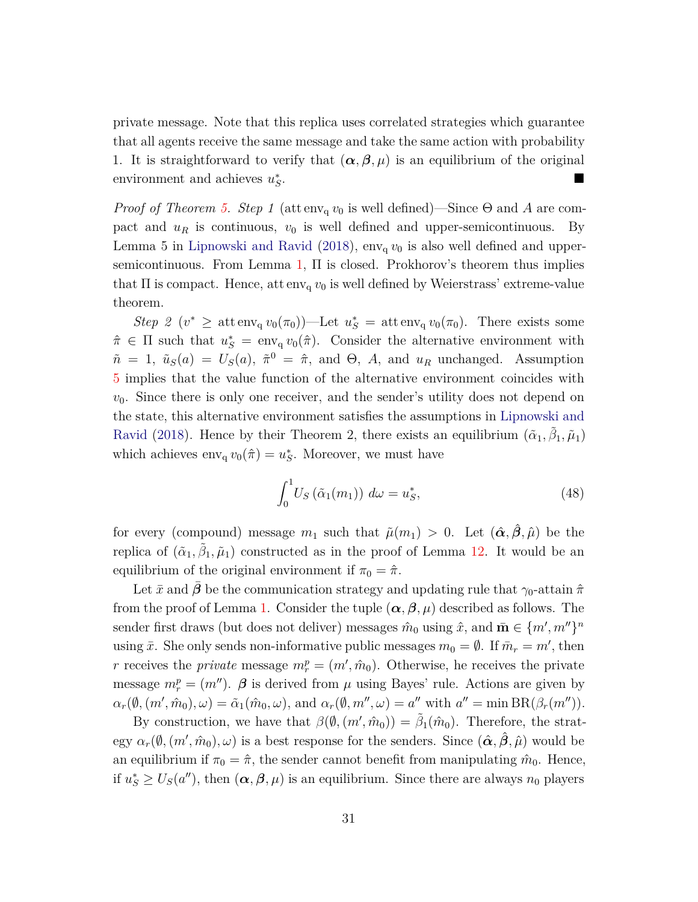private message. Note that this replica uses correlated strategies which guarantee that all agents receive the same message and take the same action with probability 1. It is straightforward to verify that  $(\alpha, \beta, \mu)$  is an equilibrium of the original environment and achieves  $u^*_{S}$ .

*Proof of Theorem [5.](#page-11-0) Step 1* (attens  $v_0$  is well defined)—Since  $\Theta$  and A are compact and  $u_R$  is continuous,  $v_0$  is well defined and upper-semicontinuous. By Lemma 5 in [Lipnowski and Ravid](#page-19-2) [\(2018](#page-19-2)),  $env_q v_0$  is also well defined and upper-semicontinuous. From Lemma [1,](#page-7-0)  $\Pi$  is closed. Prokhorov's theorem thus implies that  $\Pi$  is compact. Hence, attens  $v_0$  is well defined by Weierstrass' extreme-value theorem.

*Step 2* ( $v^* \ge$  att env<sub>q</sub>  $v_0(\pi_0)$ )—Let  $u^*_S = \text{att} \operatorname{env}_q v_0(\pi_0)$ . There exists some  $\hat{\pi} \in \Pi$  such that  $u_S^* = \text{env}_q v_0(\hat{\pi})$ . Consider the alternative environment with  $\tilde{n} = 1$ ,  $\tilde{u}_S(a) = U_S(a)$ ,  $\tilde{\pi}^0 = \hat{\pi}$ , and  $\Theta$ , *A*, and  $u_R$  unchanged. Assumption [5](#page-11-1) implies that the value function of the alternative environment coincides with  $v_0$ . Since there is only one receiver, and the sender's utility does not depend on the st[ate, this alternative environment satisfies the assumptions in](#page-19-2) Lipnowski and Ravid [\(2018\)](#page-19-2). Hence by their Theorem 2, there exists an equilibrium  $(\tilde{\alpha}_1, \tilde{\beta}_1, \tilde{\mu}_1)$ which achieves  $env_q v_0(\hat{\pi}) = u_s^*$ . Moreover, we must have

<span id="page-30-0"></span>
$$
\int_0^1 U_S\left(\tilde{\alpha}_1(m_1)\right) d\omega = u_S^*,\tag{48}
$$

for every (compound) message  $m_1$  such that  $\tilde{\mu}(m_1) > 0$ . Let  $(\hat{\alpha}, \hat{\beta}, \hat{\mu})$  be the replica of  $(\tilde{\alpha}_1, \tilde{\beta}_1, \tilde{\mu}_1)$  constructed as in the proof of Lemma [12.](#page-29-0) It would be an equilibrium of the original environment if  $\pi_0 = \hat{\pi}$ .

Let  $\bar{x}$  and  $\beta$  be the communication strategy and updating rule that  $\gamma_0$ -attain  $\hat{\pi}$ from the proof of Lemma [1.](#page-7-0) Consider the tuple  $(\alpha, \beta, \mu)$  described as follows. The sender first draws (but does not deliver) messages  $\hat{m}_0$  using  $\hat{x}$ , and  $\bar{\mathbf{m}} \in \{m', m''\}^n$ using  $\bar{x}$ . She only sends non-informative public messages  $m_0 = \emptyset$ . If  $\bar{m}_r = m'$ , then *r* receives the *private* message  $m_r^p = (m', \hat{m}_0)$ . Otherwise, he receives the private message  $m_r^p = (m'')$ .  $\beta$  is derived from  $\mu$  using Bayes' rule. Actions are given by  $\alpha_r(\emptyset, (m', \hat{m}_0), \omega) = \tilde{\alpha}_1(\hat{m}_0, \omega)$ , and  $\alpha_r(\emptyset, m'', \omega) = a''$  with  $a'' = \min \text{BR}(\beta_r(m''))$ .

By construction, we have that  $\beta(\emptyset, (m', \hat{m}_0)) = \tilde{\beta}_1(\hat{m}_0)$ . Therefore, the strat- $\exp \alpha_r(\emptyset, (m', \hat{m}_0), \omega)$  is a best response for the senders. Since  $(\hat{\alpha}, \hat{\beta}, \hat{\mu})$  would be an equilibrium if  $\pi_0 = \hat{\pi}$ , the sender cannot benefit from manipulating  $\hat{m}_0$ . Hence, if  $u_S^* \ge U_S(a'')$ , then  $(\alpha, \beta, \mu)$  is an equilibrium. Since there are always  $n_0$  players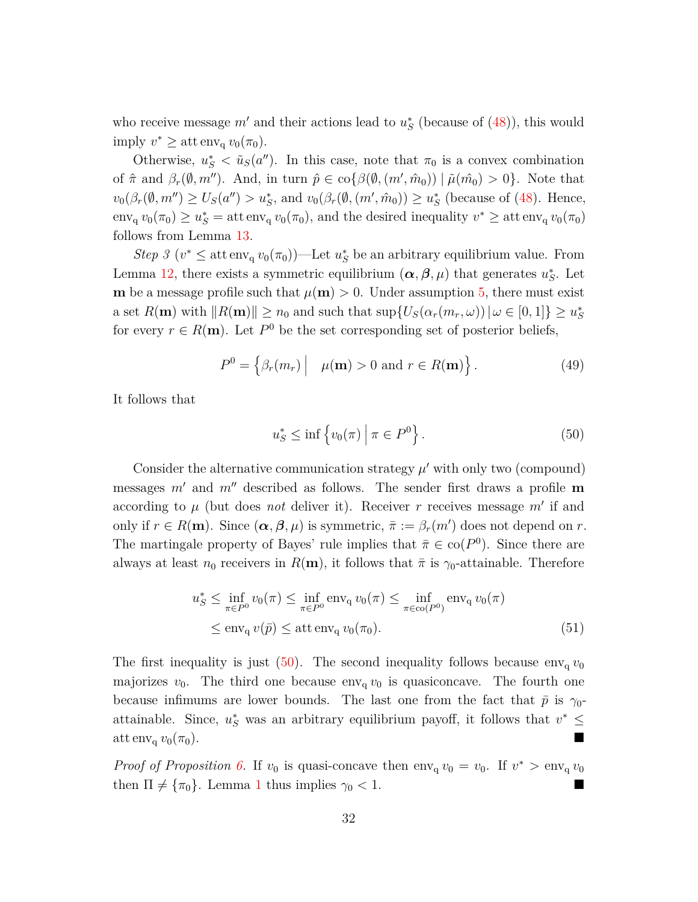who receive message  $m'$  and their actions lead to  $u_S^*$  (because of  $(48)$ ), this would imply  $v^* \geq \text{att} \operatorname{env}_q v_0(\pi_0)$ .

Otherwise,  $u_S^* < \tilde{u}_S(a'')$ . In this case, note that  $\pi_0$  is a convex combination of  $\hat{\pi}$  and  $\beta_r(\emptyset, m'')$ . And, in turn  $\hat{p} \in \text{co}\{\beta(\emptyset, (m', \hat{m}_0)) \mid \tilde{\mu}(\hat{m}_0) > 0\}$ . Note that  $v_0(\beta_r(\emptyset, m'') \ge U_S(a'') > u_S^*$ , and  $v_0(\beta_r(\emptyset, (m', m_0)) \ge u_S^*$  (because of [\(48\)](#page-30-0). Hence,  $\text{env}_{q} v_0(\pi_0) \ge u_S^* = \text{att} \, \text{env}_{q} v_0(\pi_0)$ , and the desired inequality  $v^* \ge \text{att} \, \text{env}_{q} v_0(\pi_0)$ follows from Lemma [13.](#page-29-1)

*Step 3* ( $v^* \leq$  attenv<sub>q</sub>  $v_0(\pi_0)$ )—Let  $u^*_S$  be an arbitrary equilibrium value. From Lemma [12,](#page-29-0) there exists a symmetric equilibrium  $(\alpha, \beta, \mu)$  that generates  $u_S^*$ . Let **m** be a message profile such that  $\mu(\mathbf{m}) > 0$ . Under assumption [5,](#page-11-1) there must exist a set  $R(\mathbf{m})$  with  $||R(\mathbf{m})|| \ge n_0$  and such that  $\sup\{U_S(\alpha_r(m_r,\omega)) | \omega \in [0,1]\} \ge u_S^*$ for every  $r \in R(\mathbf{m})$ . Let  $P^0$  be the set corresponding set of posterior beliefs,

$$
P^{0} = \left\{ \beta_{r}(m_{r}) \middle| \mu(\mathbf{m}) > 0 \text{ and } r \in R(\mathbf{m}) \right\}.
$$
 (49)

It follows that

<span id="page-31-0"></span>
$$
u_S^* \le \inf \left\{ v_0(\pi) \mid \pi \in P^0 \right\}.
$$
 (50)

Consider the alternative communication strategy  $\mu'$  with only two (compound) messages *m*′ and *m*′′ described as follows. The sender first draws a profile **m** according to  $\mu$  (but does *not* deliver it). Receiver  $r$  receives message  $m'$  if and only if  $r \in R(\mathbf{m})$ . Since  $(\alpha, \beta, \mu)$  is symmetric,  $\bar{\pi} := \beta_r(m')$  does not depend on  $r$ . The martingale property of Bayes' rule implies that  $\bar{\pi} \in \text{co}(P^0)$ . Since there are always at least  $n_0$  receivers in  $R(\mathbf{m})$ , it follows that  $\bar{\pi}$  is  $\gamma_0$ -attainable. Therefore

$$
u_S^* \le \inf_{\pi \in P^0} v_0(\pi) \le \inf_{\pi \in P^0} \text{env}_q v_0(\pi) \le \inf_{\pi \in \text{co}(P^0)} \text{env}_q v_0(\pi)
$$
  

$$
\le \text{env}_q v(\bar{p}) \le \text{att} \text{env}_q v_0(\pi_0).
$$
 (51)

The first inequality is just  $(50)$ . The second inequality follows because  $env_q v_0$ majorizes  $v_0$ . The third one because  $env_0$  *v*<sub>0</sub> is quasiconcave. The fourth one because infimums are lower bounds. The last one from the fact that  $\bar{p}$  is  $\gamma_0$ attainable. Since,  $u_S^*$  was an arbitrary equilibrium payoff, it follows that  $v^* \leq$  $\det \text{env}_q v_0(\pi_0).$ 

*Proof of Proposition [6.](#page-12-0)* If  $v_0$  is quasi-concave then  $env_q v_0 = v_0$ . If  $v^* > env_q v_0$ then  $\Pi \neq {\pi_0}$ . Lemma [1](#page-7-0) thus implies  $\gamma_0 < 1$ .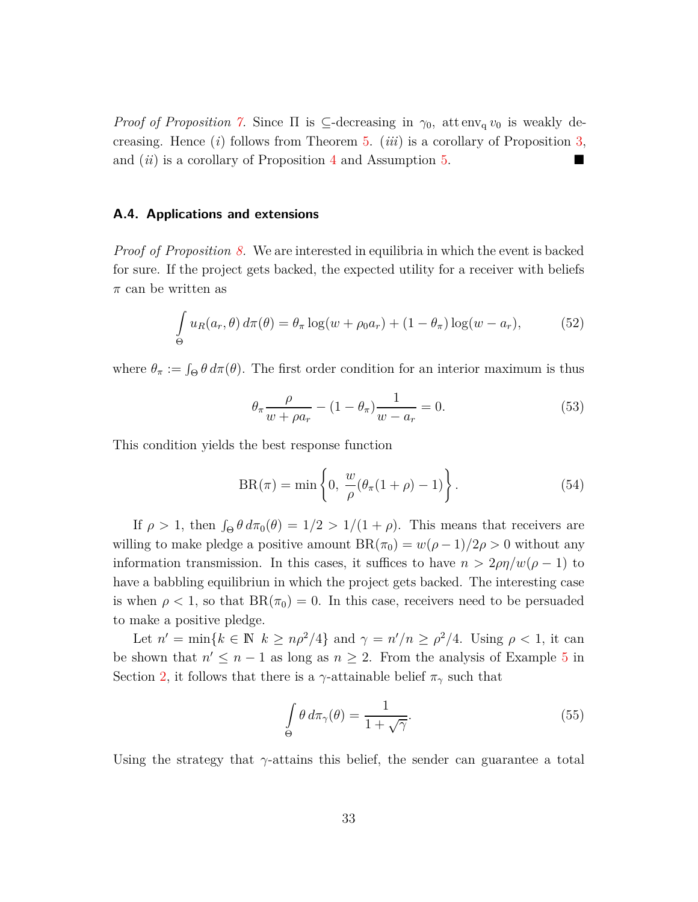*Proof of Proposition* [7.](#page-12-1) Since  $\Pi$  is  $\subseteq$ -decreasing in  $\gamma_0$ , attens  $v_0$  is weakly decreasing. Hence (*i*) follows from Theorem [5.](#page-11-0) (*iii*) is a corollary of Proposition [3,](#page-10-1) and (*ii*) is a corollary of Proposition [4](#page-10-0) and Assumption [5.](#page-11-1)

## **A.4. Applications and extensions**

*Proof of Proposition [8.](#page-15-1)* We are interested in equilibria in which the event is backed for sure. If the project gets backed, the expected utility for a receiver with beliefs *π* can be written as

$$
\int_{\Theta} u_R(a_r, \theta) d\pi(\theta) = \theta_\pi \log(w + \rho_0 a_r) + (1 - \theta_\pi) \log(w - a_r), \tag{52}
$$

where  $\theta_{\pi} := \int_{\Theta} \theta \, d\pi(\theta)$ . The first order condition for an interior maximum is thus

<span id="page-32-0"></span>
$$
\theta_{\pi} \frac{\rho}{w + \rho a_r} - (1 - \theta_{\pi}) \frac{1}{w - a_r} = 0.
$$
\n(53)

This condition yields the best response function

$$
BR(\pi) = \min\left\{0, \frac{w}{\rho}(\theta_{\pi}(1+\rho)-1)\right\}.
$$
 (54)

If  $\rho > 1$ , then  $\int_{\Theta} \theta \, d\pi_0(\theta) = 1/2 > 1/(1 + \rho)$ . This means that receivers are willing to make pledge a positive amount  $BR(\pi_0) = w(\rho - 1)/2\rho > 0$  without any information transmission. In this cases, it suffices to have  $n > 2\rho\eta/w(\rho - 1)$  to have a babbling equilibriun in which the project gets backed. The interesting case is when  $\rho < 1$ , so that  $BR(\pi_0) = 0$ . In this case, receivers need to be persuaded to make a positive pledge.

Let  $n' = \min\{k \in \mathbb{N} \mid k \geq n\rho^2/4\}$  and  $\gamma = n'/n \geq \rho^2/4$ . Using  $\rho < 1$ , it can be shown that  $n' \leq n-1$  as long as  $n \geq 2$ . From the analysis of Example [5](#page-8-3) in Section [2,](#page-6-0) it follows that there is a *γ*-attainable belief  $\pi_{\gamma}$  such that

<span id="page-32-1"></span>
$$
\int_{\Theta} \theta \, d\pi_{\gamma}(\theta) = \frac{1}{1 + \sqrt{\gamma}}.
$$
\n(55)

Using the strategy that  $\gamma$ -attains this belief, the sender can guarantee a total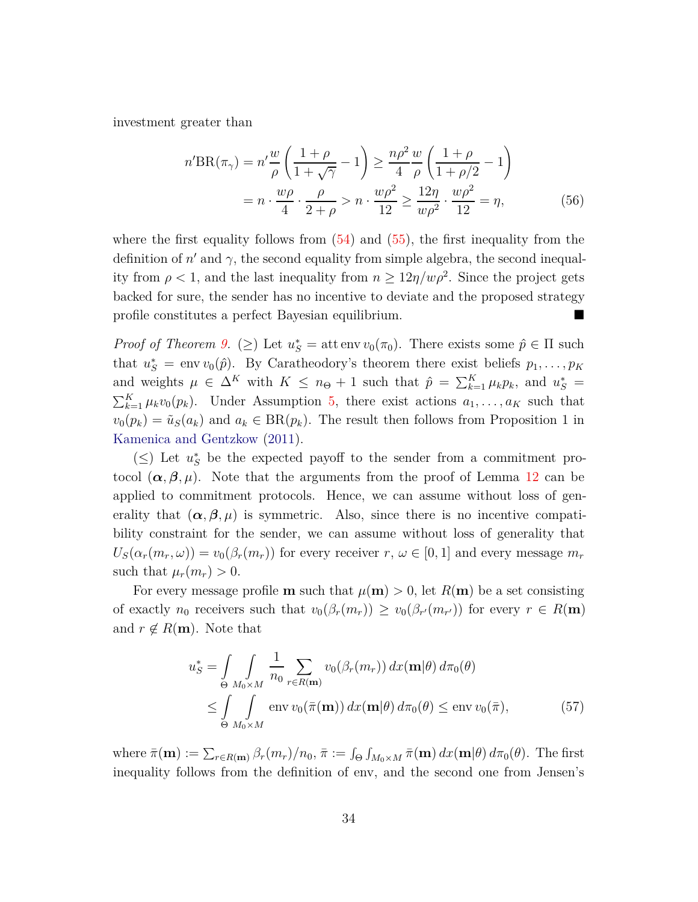investment greater than

$$
n' \text{BR}(\pi_{\gamma}) = n' \frac{w}{\rho} \left( \frac{1+\rho}{1+\sqrt{\gamma}} - 1 \right) \ge \frac{n\rho^2}{4} \frac{w}{\rho} \left( \frac{1+\rho}{1+\rho/2} - 1 \right)
$$

$$
= n \cdot \frac{w\rho}{4} \cdot \frac{\rho}{2+\rho} > n \cdot \frac{w\rho^2}{12} \ge \frac{12\eta}{w\rho^2} \cdot \frac{w\rho^2}{12} = \eta,
$$
(56)

where the first equality follows from  $(54)$  and  $(55)$ , the first inequality from the definition of  $n'$  and  $\gamma$ , the second equality from simple algebra, the second inequality from  $\rho < 1$ , and the last inequality from  $n \geq 12\eta/w\rho^2$ . Since the project gets backed for sure, the sender has no incentive to deviate and the proposed strategy profile constitutes a perfect Bayesian equilibrium.

*Proof of Theorem [9.](#page-16-2)* ( $\geq$ ) Let  $u_S^* =$  attenv  $v_0(\pi_0)$ . There exists some  $\hat{p} \in \Pi$  such that  $u_S^* = \text{env } v_0(\hat{p})$ . By Caratheodory's theorem there exist beliefs  $p_1, \ldots, p_K$ and weights  $\mu \in \Delta^K$  with  $K \leq n_{\Theta} + 1$  such that  $\hat{p} = \sum_{k=1}^K \mu_k p_k$ , and  $u_S^* =$  $\sum_{k=1}^{K} \mu_k v_0(p_k)$ . Under Assumption [5,](#page-11-1) there exist actions  $a_1, \ldots, a_K$  such that  $v_0(p_k) = \tilde{u}_S(a_k)$  and  $a_k \in BR(p_k)$ . The result then follows from Proposition 1 in [Kamenica and Gentzkow](#page-19-1) [\(2011\)](#page-19-1).

(≤) Let  $u^*$ <sub>*S*</sub> be the expected payoff to the sender from a commitment protocol  $(\alpha, \beta, \mu)$ . Note that the arguments from the proof of Lemma [12](#page-29-0) can be applied to commitment protocols. Hence, we can assume without loss of generality that  $(\alpha, \beta, \mu)$  is symmetric. Also, since there is no incentive compatibility constraint for the sender, we can assume without loss of generality that  $U_S(\alpha_r(m_r,\omega)) = v_0(\beta_r(m_r))$  for every receiver  $r, \omega \in [0,1]$  and every message  $m_r$ such that  $\mu_r(m_r) > 0$ .

For every message profile **m** such that  $\mu(\mathbf{m}) > 0$ , let  $R(\mathbf{m})$  be a set consisting of exactly  $n_0$  receivers such that  $v_0(\beta_r(m_r)) \ge v_0(\beta_{r'}(m_{r'}))$  for every  $r \in R(\mathbf{m})$ and  $r \notin R(\mathbf{m})$ . Note that

<span id="page-33-0"></span>
$$
u_S^* = \int\limits_{\Theta} \int\limits_{M_0 \times M} \frac{1}{n_0} \sum_{r \in R(\mathbf{m})} v_0(\beta_r(m_r)) \, dx(\mathbf{m}|\theta) \, d\pi_0(\theta)
$$
  
\$\leq \int\limits\_{\Theta} \int\limits\_{M\_0 \times M} \text{env } v\_0(\bar{\pi}(\mathbf{m})) \, dx(\mathbf{m}|\theta) \, d\pi\_0(\theta) \leq \text{env } v\_0(\bar{\pi}), \tag{57}

where  $\bar{\pi}(\mathbf{m}) := \sum_{r \in R(\mathbf{m})} \beta_r(m_r) / n_0$ ,  $\bar{\pi} := \int_{\Theta} \int_{M_0 \times M} \bar{\pi}(\mathbf{m}) dx(\mathbf{m}|\theta) d\pi_0(\theta)$ . The first inequality follows from the definition of env, and the second one from Jensen's